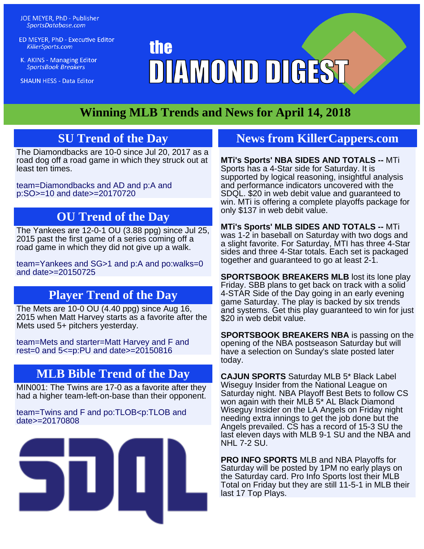JOE MEYER, PhD - Publisher SportsDatabase.com

ED MEYER, PhD - Executive Editor KillerSports.com

K. AKINS - Managing Editor **SportsBook Breakers** 

**SHAUN HESS - Data Editor** 

## **the** DIAMOND DIGEST

## **Winning MLB Trends and News for April 14, 2018**

## **SU Trend of the Day**

The Diamondbacks are 10-0 since Jul 20, 2017 as a road dog off a road game in which they struck out at least ten times.

[team=Diamondbacks and AD and p:A and](http://KillerSports.com/mlb/query?sdql=team%3DDiamondbacks%20and%20AD%20and%20p%3AA%20and%20p%3ASO%3E%3D10%20and%20date%3E%3D20170720) [p:SO>=10 and date>=20170720](http://KillerSports.com/mlb/query?sdql=team%3DDiamondbacks%20and%20AD%20and%20p%3AA%20and%20p%3ASO%3E%3D10%20and%20date%3E%3D20170720)

## **OU Trend of the Day**

The Yankees are 12-0-1 OU (3.88 ppg) since Jul 25, 2015 past the first game of a series coming off a road game in which they did not give up a walk.

[team=Yankees and SG>1 and p:A and po:walks=0](http://KillerSports.com/mlb/query?sdql=team%3DYankees%20and%20SG%3E1%20and%20p%3AA%20and%20po%3Awalks%3D0%20and%20date%3E%3D20150725) [and date>=20150725](http://KillerSports.com/mlb/query?sdql=team%3DYankees%20and%20SG%3E1%20and%20p%3AA%20and%20po%3Awalks%3D0%20and%20date%3E%3D20150725)

## **Player Trend of the Day**

The Mets are 10-0 OU (4.40 ppg) since Aug 16, 2015 when Matt Harvey starts as a favorite after the Mets used 5+ pitchers yesterday.

[team=Mets and starter=Matt Harvey and F and](http://KillerSports.com/mlb/query?sdql=team%3DMets%20and%20starter%3DMatt%20Harvey%20and%20F%20and%20rest%3D0%20and%205%3C%3Dp%3APU%20and%20date%3E%3D20150816) [rest=0 and 5<=p:PU and date>=20150816](http://KillerSports.com/mlb/query?sdql=team%3DMets%20and%20starter%3DMatt%20Harvey%20and%20F%20and%20rest%3D0%20and%205%3C%3Dp%3APU%20and%20date%3E%3D20150816)

## **MLB Bible Trend of the Day**

MIN001: The Twins are 17-0 as a favorite after they had a higher team-left-on-base than their opponent.

[team=Twins and F and po:TLOB<p:TLOB and](http://KillerSports.com/mlb/query?sdql=team%3DTwins%20and%20F%20and%20po%3ATLOB%3Cp%3ATLOB%20and%20date%3E%3D20170808) [date>=20170808](http://KillerSports.com/mlb/query?sdql=team%3DTwins%20and%20F%20and%20po%3ATLOB%3Cp%3ATLOB%20and%20date%3E%3D20170808)



## **[News from KillerCappers.com](http://KillerCappers.com)**

**MTi's Sports' NBA SIDES AND TOTALS --** MTi Sports has a 4-Star side for Saturday. It is supported by logical reasoning, insightful analysis and performance indicators uncovered with the SDQL. \$20 in web debit value and guaranteed to win. MTi is offering a complete playoffs package for only \$137 in web debit value.

**MTi's Sports' MLB SIDES AND TOTALS --** MTi was 1-2 in baseball on Saturday with two dogs and a slight favorite. For Saturday, MTI has three 4-Star sides and three 4-Star totals. Each set is packaged together and guaranteed to go at least 2-1.

**SPORTSBOOK BREAKERS MLB** lost its lone play Friday. SBB plans to get back on track with a solid 4-STAR Side of the Day going in an early evening game Saturday. The play is backed by six trends and systems. Get this play guaranteed to win for just \$20 in web debit value.

**SPORTSBOOK BREAKERS NBA** is passing on the opening of the NBA postseason Saturday but will have a selection on Sunday's slate posted later today.

**CAJUN SPORTS** Saturday MLB 5\* Black Label Wiseguy Insider from the National League on Saturday night. NBA Playoff Best Bets to follow CS won again with their MLB 5\* AL Black Diamond Wiseguy Insider on the LA Angels on Friday night needing extra innings to get the job done but the Angels prevailed. CS has a record of 15-3 SU the last eleven days with MLB 9-1 SU and the NBA and NHL 7-2 SU.

**PRO INFO SPORTS** MLB and NBA Playoffs for Saturday will be posted by 1PM no early plays on the Saturday card. Pro Info Sports lost their MLB Total on Friday but they are still 11-5-1 in MLB their last 17 Top Plays.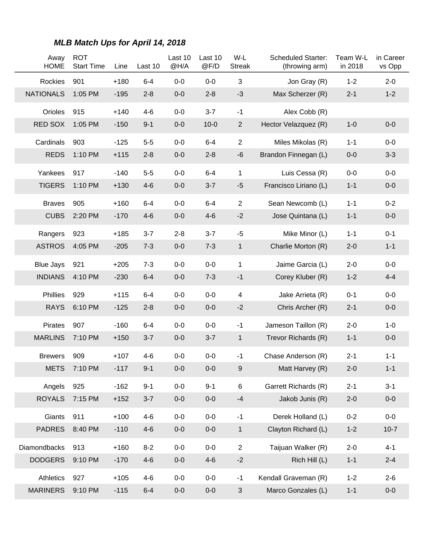| Away<br><b>HOME</b> | <b>ROT</b><br><b>Start Time</b> | Line   | Last 10 | Last 10<br>@H/A | Last 10<br>@F/D | W-L<br><b>Streak</b> | <b>Scheduled Starter:</b><br>(throwing arm) | Team W-L<br>in 2018 | in Career<br>vs Opp |
|---------------------|---------------------------------|--------|---------|-----------------|-----------------|----------------------|---------------------------------------------|---------------------|---------------------|
| Rockies             | 901                             | $+180$ | $6-4$   | $0-0$           | $0-0$           | 3                    | Jon Gray (R)                                | $1 - 2$             | $2 - 0$             |
| <b>NATIONALS</b>    | 1:05 PM                         | $-195$ | $2 - 8$ | $0-0$           | $2 - 8$         | $-3$                 | Max Scherzer (R)                            | $2 - 1$             | $1 - 2$             |
| Orioles             | 915                             | $+140$ | $4 - 6$ | $0-0$           | $3 - 7$         | $-1$                 | Alex Cobb (R)                               |                     |                     |
| RED SOX             | 1:05 PM                         | $-150$ | $9 - 1$ | $0-0$           | $10 - 0$        | $\overline{2}$       | Hector Velazquez (R)                        | $1 - 0$             | $0-0$               |
| Cardinals           | 903                             | $-125$ | $5-5$   | $0-0$           | $6 - 4$         | $\overline{2}$       | Miles Mikolas (R)                           | $1 - 1$             | $0-0$               |
| <b>REDS</b>         | 1:10 PM                         | $+115$ | $2 - 8$ | $0-0$           | $2 - 8$         | $-6$                 | Brandon Finnegan (L)                        | $0-0$               | $3 - 3$             |
| Yankees             | 917                             | $-140$ | $5-5$   | $0-0$           | $6 - 4$         | 1                    | Luis Cessa (R)                              | $0-0$               | $0-0$               |
| <b>TIGERS</b>       | 1:10 PM                         | $+130$ | $4-6$   | $0-0$           | $3 - 7$         | $-5$                 | Francisco Liriano (L)                       | $1 - 1$             | $0-0$               |
| <b>Braves</b>       | 905                             | $+160$ | $6 - 4$ | $0-0$           | $6 - 4$         | $\overline{2}$       | Sean Newcomb (L)                            | $1 - 1$             | $0 - 2$             |
| <b>CUBS</b>         | 2:20 PM                         | $-170$ | $4-6$   | $0-0$           | $4 - 6$         | $-2$                 | Jose Quintana (L)                           | $1 - 1$             | $0-0$               |
| Rangers             | 923                             | $+185$ | $3 - 7$ | $2 - 8$         | $3 - 7$         | $-5$                 | Mike Minor (L)                              | $1 - 1$             | $0 - 1$             |
| <b>ASTROS</b>       | 4:05 PM                         | $-205$ | $7 - 3$ | $0-0$           | $7 - 3$         | $\mathbf{1}$         | Charlie Morton (R)                          | $2 - 0$             | $1 - 1$             |
| <b>Blue Jays</b>    | 921                             | $+205$ | $7 - 3$ | $0-0$           | $0-0$           | 1                    | Jaime Garcia (L)                            | $2 - 0$             | $0-0$               |
| <b>INDIANS</b>      | 4:10 PM                         | $-230$ | $6 - 4$ | $0-0$           | $7 - 3$         | $-1$                 | Corey Kluber (R)                            | $1 - 2$             | $4 - 4$             |
| Phillies            | 929                             | $+115$ | $6 - 4$ | $0-0$           | $0-0$           | 4                    | Jake Arrieta (R)                            | $0 - 1$             | $0-0$               |
| <b>RAYS</b>         | 6:10 PM                         | $-125$ | $2 - 8$ | $0-0$           | $0-0$           | $-2$                 | Chris Archer (R)                            | $2 - 1$             | $0-0$               |
| Pirates             | 907                             | $-160$ | $6 - 4$ | $0-0$           | $0-0$           | $-1$                 | Jameson Taillon (R)                         | $2 - 0$             | $1 - 0$             |
| <b>MARLINS</b>      | 7:10 PM                         | $+150$ | $3 - 7$ | $0-0$           | $3 - 7$         | $\mathbf{1}$         | Trevor Richards (R)                         | $1 - 1$             | $0-0$               |
| <b>Brewers</b>      | 909                             | $+107$ | $4-6$   | $0-0$           | $0-0$           | $-1$                 | Chase Anderson (R)                          | $2 - 1$             | $1 - 1$             |
| <b>METS</b>         | 7:10 PM                         | $-117$ | $9 - 1$ | $0-0$           | $0-0$           | 9                    | Matt Harvey (R)                             | $2 - 0$             | $1 - 1$             |
| Angels              | 925                             | $-162$ | $9 - 1$ | $0-0$           | $9 - 1$         | 6                    | Garrett Richards (R)                        | $2 - 1$             | $3-1$               |
| <b>ROYALS</b>       | 7:15 PM                         | $+152$ | $3 - 7$ | $0-0$           | $0-0$           | $-4$                 | Jakob Junis (R)                             | $2 - 0$             | $0-0$               |
| Giants              | 911                             | $+100$ | $4 - 6$ | $0-0$           | $0-0$           | $-1$                 | Derek Holland (L)                           | $0 - 2$             | $0-0$               |
| <b>PADRES</b>       | 8:40 PM                         | $-110$ | $4 - 6$ | $0-0$           | $0-0$           | $\mathbf 1$          | Clayton Richard (L)                         | $1 - 2$             | $10-7$              |
| <b>Diamondbacks</b> | 913                             | $+160$ | $8 - 2$ | $0-0$           | $0-0$           | $\overline{2}$       | Taijuan Walker (R)                          | $2 - 0$             | $4 - 1$             |
| <b>DODGERS</b>      | 9:10 PM                         | $-170$ | $4 - 6$ | $0-0$           | $4-6$           | $-2$                 | Rich Hill (L)                               | $1 - 1$             | $2 - 4$             |
| Athletics           | 927                             | $+105$ | $4 - 6$ | $0-0$           | $0-0$           | $-1$                 | Kendall Graveman (R)                        | $1 - 2$             | $2 - 6$             |
| <b>MARINERS</b>     | 9:10 PM                         | $-115$ | $6 - 4$ | $0-0$           | $0-0$           | 3                    | Marco Gonzales (L)                          | $1 - 1$             | $0-0$               |

## **MLB Match Ups for April 14, 2018**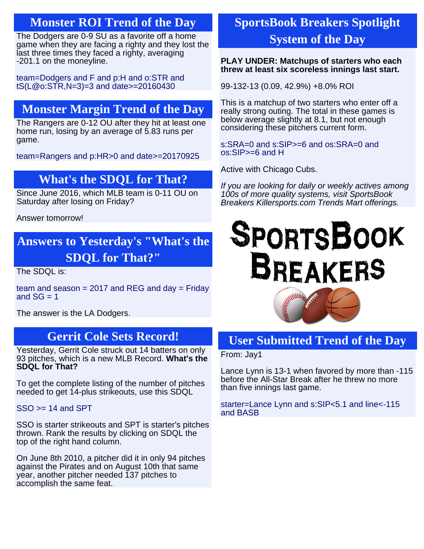## **Monster ROI Trend of the Day**

The Dodgers are 0-9 SU as a favorite off a home game when they are facing a righty and they lost the last three times they faced a righty, averaging -201.1 on the moneyline.

[team=Dodgers and F and p:H and o:STR and](http://KillerSports.com/mlb/query?sdql=team%3DDodgers%20and%20F%20and%20p%3AH%20and%20o%3ASTR%20and%20tS%28L%40o%3ASTR%2CN%3D3%29%3D3%20and%20date%3E%3D20160430) [tS\(L@o:STR,N=3\)=3 and date>=20160430](http://KillerSports.com/mlb/query?sdql=team%3DDodgers%20and%20F%20and%20p%3AH%20and%20o%3ASTR%20and%20tS%28L%40o%3ASTR%2CN%3D3%29%3D3%20and%20date%3E%3D20160430)

## **Monster Margin Trend of the Day**

The Rangers are 0-12 OU after they hit at least one home run, losing by an average of 5.83 runs per game.

[team=Rangers and p:HR>0 and date>=20170925](http://KillerSports.com/mlb/query?sdql=team%3DRangers%20and%20p%3AHR%3E0%20and%20date%3E%3D20170925)

## **What's the SDQL for That?**

Since June 2016, which MLB team is 0-11 OU on Saturday after losing on Friday?

Answer tomorrow!

## **Answers to Yesterday's "What's the SDQL for That?"**

The SDQL is:

team and season  $= 2017$  and REG and day  $=$  Friday and  $SG = 1$ 

The answer is the LA Dodgers.

## **Gerrit Cole Sets Record!**

Yesterday, Gerrit Cole struck out 14 batters on only 93 pitches, which is a new MLB Record. **What's the SDQL for That?**

To get the complete listing of the number of pitches needed to get 14-plus strikeouts, use this SDQL

 $SSO \geq 14$  and SPT

SSO is starter strikeouts and SPT is starter's pitches thrown. Rank the results by clicking on SDQL the top of the right hand column.

On June 8th 2010, a pitcher did it in only 94 pitches against the Pirates and on August 10th that same year, another pitcher needed 137 pitches to accomplish the same feat.

## **SportsBook Breakers Spotlight System of the Day**

#### **PLAY UNDER: Matchups of starters who each threw at least six scoreless innings last start.**

99-132-13 (0.09, 42.9%) +8.0% ROI

This is a matchup of two starters who enter off a really strong outing. The total in these games is below average slightly at 8.1, but not enough considering these pitchers current form.

[s:SRA=0 and s:SIP>=6 and os:SRA=0 and](http://KillerSports.com/mlb/query?sdql=%20s%3ASRA%3D0%20and%20s%3ASIP%3E%3D6%20and%20os%3ASRA%3D0%20and%20os%3ASIP%3E%3D6%20and%20H%20) [os:SIP>=6 and H](http://KillerSports.com/mlb/query?sdql=%20s%3ASRA%3D0%20and%20s%3ASIP%3E%3D6%20and%20os%3ASRA%3D0%20and%20os%3ASIP%3E%3D6%20and%20H%20)

Active with Chicago Cubs.

If you are looking for daily or weekly actives among 100s of more quality systems, visit SportsBook Breakers Killersports.com Trends Mart offerings.

# **SPORTSBOOK BREAKERS**



## **User Submitted Trend of the Day**

From: Jay1

Lance Lynn is 13-1 when favored by more than -115 before the All-Star Break after he threw no more than five innings last game.

[starter=Lance Lynn and s:SIP<5.1 and line<-115](http://KillerSports.com/mlb/query?sdql=%20starter%3DLance%20Lynn%20and%20s%3ASIP%3C5.1%20and%20line%3C-115%20and%20BASB) [and BASB](http://KillerSports.com/mlb/query?sdql=%20starter%3DLance%20Lynn%20and%20s%3ASIP%3C5.1%20and%20line%3C-115%20and%20BASB)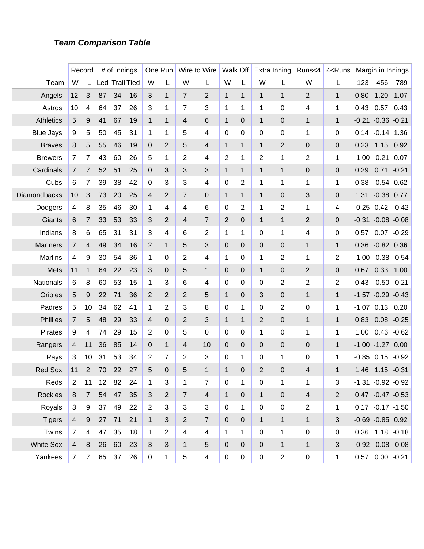#### **Team Comparison Table**

|                  |                | Record         |    | # of Innings          |    |                | One Run        |                | Wire to Wire   |              | Walk Off       |                | Extra Inning   | Runs<4                   | 4 <runs< th=""><th></th><th>Margin in Innings</th><th></th></runs<> |      | Margin in Innings      |               |
|------------------|----------------|----------------|----|-----------------------|----|----------------|----------------|----------------|----------------|--------------|----------------|----------------|----------------|--------------------------|---------------------------------------------------------------------|------|------------------------|---------------|
| Team             | W              | L              |    | <b>Led Trail Tied</b> |    | W              | L              | W              | L              | W            | L              | W              | L              | W                        | L                                                                   | 123  | 456                    | 789           |
| Angels           | 12             | 3              | 87 | 34                    | 16 | 3              | 1              | $\overline{7}$ | $\overline{2}$ | $\mathbf{1}$ | $\mathbf{1}$   | $\mathbf{1}$   | $\mathbf{1}$   | 2                        | $\mathbf{1}$                                                        | 0.80 | 1.20                   | 1.07          |
| Astros           | 10             | 4              | 64 | 37                    | 26 | 3              | 1              | 7              | $\mathbf{3}$   | 1            | 1              | 1              | 0              | 4                        | 1                                                                   | 0.43 | 0.57                   | 0.43          |
| <b>Athletics</b> | 5              | 9              | 41 | 67                    | 19 | $\mathbf{1}$   | 1              | 4              | 6              | $\mathbf 1$  | $\mathbf 0$    | $\mathbf{1}$   | $\mathbf{0}$   | 1                        | $\mathbf{1}$                                                        |      | $-0.21 - 0.36 - 0.21$  |               |
| <b>Blue Jays</b> | 9              | 5              | 50 | 45                    | 31 | 1              | 1              | 5              | 4              | 0            | 0              | 0              | 0              | 1                        | 0                                                                   | 0.14 | $-0.14$ 1.36           |               |
| <b>Braves</b>    | 8              | 5              | 55 | 46                    | 19 | 0              | $\overline{2}$ | 5              | 4              | $\mathbf{1}$ | $\mathbf{1}$   | $\mathbf{1}$   | 2              | 0                        | 0                                                                   | 0.23 | 1.15                   | 0.92          |
| <b>Brewers</b>   | $\overline{7}$ | 7              | 43 | 60                    | 26 | 5              | 1              | 2              | 4              | 2            | 1              | $\overline{2}$ | 1              | 2                        | 1                                                                   |      | $-1.00 -0.21$          | 0.07          |
| Cardinals        | $\overline{7}$ | 7              | 52 | 51                    | 25 | 0              | 3              | 3              | 3              | $\mathbf{1}$ | $\mathbf{1}$   | $\mathbf{1}$   | $\mathbf{1}$   | $\pmb{0}$                | 0                                                                   | 0.29 | 0.71                   | $-0.21$       |
| Cubs             | 6              | 7              | 39 | 38                    | 42 | $\mathbf 0$    | 3              | 3              | 4              | 0            | 2              | 1              | 1              | 1                        | 1                                                                   | 0.38 | $-0.54$ $0.62$         |               |
| Diamondbacks     | 10             | 3              | 73 | 20                    | 25 | 4              | $\overline{2}$ | $\overline{7}$ | $\mathbf 0$    | $\mathbf{1}$ | $\mathbf{1}$   | $\mathbf{1}$   | $\mathbf{0}$   | 3                        | 0                                                                   | 1.31 | $-0.38$ 0.77           |               |
| Dodgers          | 4              | 8              | 35 | 46                    | 30 | 1              | 4              | 4              | 6              | 0            | $\overline{2}$ | 1              | 2              | 1                        | 4                                                                   |      | $-0.25$ $0.42$ $-0.42$ |               |
| Giants           | 6              | 7              | 33 | 53                    | 33 | 3              | $\overline{2}$ | 4              | $\overline{7}$ | 2            | $\mathbf 0$    | $\mathbf{1}$   | $\mathbf{1}$   | $\overline{2}$           | 0                                                                   |      | $-0.31 - 0.08 - 0.08$  |               |
| Indians          | 8              | 6              | 65 | 31                    | 31 | 3              | 4              | 6              | $\overline{2}$ | 1            | 1              | 0              | 1              | 4                        | 0                                                                   | 0.57 | $0.07 - 0.29$          |               |
| <b>Mariners</b>  | $\overline{7}$ | 4              | 49 | 34                    | 16 | $\overline{2}$ | 1              | 5              | 3              | 0            | $\mathbf 0$    | 0              | $\mathbf{0}$   | 1                        | $\mathbf{1}$                                                        | 0.36 | $-0.82$ 0.36           |               |
| <b>Marlins</b>   | 4              | 9              | 30 | 54                    | 36 | 1              | 0              | 2              | 4              | 1            | 0              | 1              | 2              | 1                        | 2                                                                   |      | $-1.00 -0.38 -0.54$    |               |
| Mets             | 11             | 1              | 64 | 22                    | 23 | 3              | $\mathbf 0$    | 5              | $\mathbf{1}$   | 0            | $\mathbf 0$    | $\mathbf{1}$   | $\mathbf{0}$   | $\overline{2}$           | 0                                                                   | 0.67 | 0.33                   | 1.00          |
| Nationals        | 6              | 8              | 60 | 53                    | 15 | 1              | 3              | 6              | 4              | 0            | 0              | 0              | 2              | 2                        | 2                                                                   |      | $0.43 - 0.50 - 0.21$   |               |
| Orioles          | 5              | 9              | 22 | 71                    | 36 | $\overline{2}$ | $\overline{2}$ | 2              | 5              | $\mathbf{1}$ | $\mathbf 0$    | 3              | 0              | 1                        | $\mathbf{1}$                                                        |      | $-1.57 -0.29 -0.43$    |               |
| Padres           | 5              | 10             | 34 | 62                    | 41 | 1              | 2              | 3              | 8              | 0            | 1              | 0              | 2              | $\pmb{0}$                | 1                                                                   |      | $-1.07$ 0.13 0.20      |               |
| <b>Phillies</b>  | $\overline{7}$ | 5              | 48 | 29                    | 33 | 4              | $\mathbf 0$    | $\overline{2}$ | $\mathfrak{B}$ | $\mathbf{1}$ | $\mathbf 1$    | $\overline{2}$ | 0              | 1                        | $\mathbf{1}$                                                        | 0.83 |                        | $0.08 - 0.25$ |
| <b>Pirates</b>   | 9              | 4              | 74 | 29                    | 15 | 2              | 0              | 5              | $\pmb{0}$      | 0            | 0              | 1              | 0              | 1                        | 1                                                                   | 1.00 | $0.46 - 0.62$          |               |
| Rangers          | $\overline{4}$ | 11             | 36 | 85                    | 14 | 0              | 1              | 4              | 10             | 0            | $\mathbf 0$    | 0              | $\mathbf{0}$   | 0                        | $\mathbf{1}$                                                        |      | $-1.00 - 1.27$         | 0.00          |
| Rays             | 3              | 10             | 31 | 53                    | 34 | 2              | 7              | 2              | $\mathbf{3}$   | 0            | 1              | 0              | 1              | 0                        | 1                                                                   |      | $-0.85$ 0.15           | $-0.92$       |
| <b>Red Sox</b>   | 11             | 2              | 70 | 22                    | 27 | 5              | $\Omega$       | 5              | 1              | 1            | $\Omega$       | 2              | 0              | $\overline{\mathcal{A}}$ | 1                                                                   | 1.46 | $1.15 - 0.31$          |               |
| Reds             | $\overline{2}$ | 11             | 12 | 82                    | 24 | $\mathbf 1$    | 3              | $\mathbf{1}$   | $\overline{7}$ | $\pmb{0}$    | $\mathbf{1}$   | $\mathbf 0$    | $\mathbf 1$    | $\mathbf 1$              | 3                                                                   |      | $-1.31 - 0.92 - 0.92$  |               |
| <b>Rockies</b>   | 8              | $\overline{7}$ |    | 54 47                 | 35 | 3              | 2              | $\overline{7}$ | $\overline{4}$ | $\mathbf{1}$ | $\mathbf 0$    | $\mathbf{1}$   | $\overline{0}$ | $\overline{\mathbf{4}}$  | 2                                                                   |      | $0.47 -0.47 -0.53$     |               |
| Royals           | 3              | 9              | 37 | 49                    | 22 | $\overline{2}$ | 3              | 3              | 3              | $\mathbf 0$  | $\mathbf{1}$   | $\mathbf 0$    | $\mathbf 0$    | $\overline{2}$           | 1                                                                   |      | $0.17 - 0.17 - 1.50$   |               |
| <b>Tigers</b>    | $\overline{4}$ | $9\,$          | 27 | 71                    | 21 | $\mathbf{1}$   | 3              | $\overline{2}$ | $\overline{7}$ | $\mathbf 0$  | $\mathbf 0$    | $\mathbf{1}$   | $\mathbf{1}$   | $\mathbf{1}$             | 3                                                                   |      | $-0.69 - 0.85 0.92$    |               |
| Twins            | $\overline{7}$ | 4              | 47 | 35                    | 18 | $\mathbf 1$    | 2              | $\overline{4}$ | $\overline{4}$ | $\mathbf{1}$ | $\mathbf{1}$   | $\mathbf 0$    | $\mathbf{1}$   | $\boldsymbol{0}$         | 0                                                                   |      | $0.36$ 1.18 -0.18      |               |
| <b>White Sox</b> | $\overline{4}$ | 8              | 26 | 60                    | 23 | 3              | 3              | $\mathbf{1}$   | $\overline{5}$ | $\mathbf{0}$ | $\overline{0}$ | $\overline{0}$ | 1              | $\mathbf{1}$             | 3                                                                   |      | $-0.92 -0.08 -0.08$    |               |
| Yankees          | $\overline{7}$ | 7              | 65 | 37                    | 26 | $\pmb{0}$      | 1              | 5              | $\overline{4}$ | $\pmb{0}$    | $\mathbf 0$    | $\mathbf 0$    | $\overline{2}$ | $\mathbf 0$              | 1                                                                   |      | $0.57$ 0.00 -0.21      |               |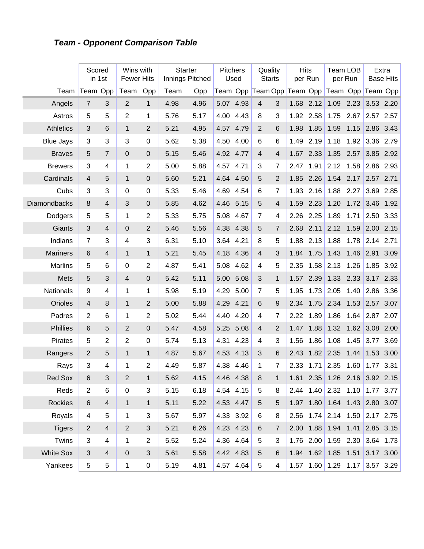## **Team - Opponent Comparison Table**

|                  | Scored         | in 1st         | Wins with<br><b>Fewer Hits</b> |                | <b>Starter</b><br>Innings Pitched |      | Pitchers  | Used      | Quality<br><b>Starts</b>   |                | <b>Hits</b> | per Run   | <b>Team LOB</b>               | per Run |           | Extra<br><b>Base Hits</b> |
|------------------|----------------|----------------|--------------------------------|----------------|-----------------------------------|------|-----------|-----------|----------------------------|----------------|-------------|-----------|-------------------------------|---------|-----------|---------------------------|
| Team             | Team Opp       |                | Team                           | Opp            | Team                              | Opp  |           |           | Team Opp Team Opp Team Opp |                |             |           | Team Opp Team Opp             |         |           |                           |
| Angels           | $\overline{7}$ | 3              | $\overline{2}$                 | $\mathbf{1}$   | 4.98                              | 4.96 | 5.07 4.93 |           | $\overline{4}$             | 3              | 1.68        | 2.12      | 1.09                          | 2.23    | 3.53 2.20 |                           |
| Astros           | 5              | 5              | $\overline{2}$                 | 1              | 5.76                              | 5.17 | 4.00      | 4.43      | 8                          | 3              | 1.92        | 2.58      | 1.75                          | 2.67    | 2.57      | 2.57                      |
| <b>Athletics</b> | 3              | 6              | $\mathbf{1}$                   | $\overline{2}$ | 5.21                              | 4.95 | 4.57      | 4.79      | $\overline{2}$             | 6              | 1.98        | 1.85      | 1.59                          | 1.15    | 2.86      | 3.43                      |
| <b>Blue Jays</b> | 3              | 3              | 3                              | $\pmb{0}$      | 5.62                              | 5.38 | 4.50      | 4.00      | 6                          | 6              | 1.49        | 2.19      | 1.18                          | 1.92    | 3.36      | 2.79                      |
| <b>Braves</b>    | 5              | $\overline{7}$ | $\mathbf 0$                    | $\pmb{0}$      | 5.15                              | 5.46 | 4.92      | 4.77      | $\overline{4}$             | 4              | 1.67        | 2.33      | 1.35                          | 2.57    | 3.85      | 2.92                      |
| <b>Brewers</b>   | $\mathfrak{S}$ | 4              | 1                              | $\overline{2}$ | 5.00                              | 5.88 | 4.57      | 4.71      | 3                          | 7              | 2.47        | 1.91      | 2.12                          | 1.58    | 2.86      | 2.93                      |
| Cardinals        | $\overline{4}$ | 5              | $\mathbf{1}$                   | $\pmb{0}$      | 5.60                              | 5.21 | 4.64      | 4.50      | $\overline{5}$             | $\overline{2}$ | 1.85        | 2.26      | 1.54                          | 2.17    | 2.57 2.71 |                           |
| Cubs             | $\mathfrak{S}$ | 3              | $\mathbf 0$                    | $\pmb{0}$      | 5.33                              | 5.46 | 4.69      | 4.54      | 6                          | 7              | 1.93        | 2.16      | 1.88                          | 2.27    | 3.69      | 2.85                      |
| Diamondbacks     | 8              | $\overline{4}$ | 3                              | $\pmb{0}$      | 5.85                              | 4.62 | 4.46      | 5.15      | $\overline{5}$             | 4              | 1.59        | 2.23      | 1.20                          | 1.72    | 3.46      | 1.92                      |
| Dodgers          | 5              | 5              | 1                              | $\overline{2}$ | 5.33                              | 5.75 | 5.08      | 4.67      | $\overline{7}$             | 4              | 2.26        | 2.25      | 1.89                          | 1.71    | 2.50      | 3.33                      |
| Giants           | 3              | $\overline{4}$ | $\mathbf 0$                    | $\overline{2}$ | 5.46                              | 5.56 | 4.38      | 4.38      | $\overline{5}$             | 7              | 2.68        | 2.11      | 2.12                          | 1.59    | 2.00      | 2.15                      |
| Indians          | $\overline{7}$ | 3              | 4                              | $\mathbf{3}$   | 6.31                              | 5.10 | 3.64      | 4.21      | 8                          | 5              | 1.88        | 2.13      | 1.88                          | 1.78    | 2.14      | 2.71                      |
| <b>Mariners</b>  | 6              | $\overline{4}$ | $\mathbf{1}$                   | $\mathbf{1}$   | 5.21                              | 5.45 | 4.18      | 4.36      | $\overline{4}$             | 3              | 1.84        | 1.75      | 1.43                          | 1.46    | 2.91      | 3.09                      |
| <b>Marlins</b>   | 5              | 6              | $\mathbf 0$                    | $\overline{2}$ | 4.87                              | 5.41 | 5.08      | 4.62      | 4                          | 5              | 2.35        | 1.58      | 2.13                          | 1.26    | 1.85      | 3.92                      |
| Mets             | 5              | 3              | $\overline{4}$                 | $\mathbf 0$    | 5.42                              | 5.11 | 5.00      | 5.08      | 3                          | $\mathbf{1}$   | 1.57        | 2.39      | 1.33                          | 2.33    |           | 3.17 2.33                 |
| <b>Nationals</b> | 9              | 4              | 1                              | 1              | 5.98                              | 5.19 | 4.29      | 5.00      | $\overline{7}$             | 5              | 1.95        | 1.73      | 2.05                          | 1.40    | 2.86      | 3.36                      |
| Orioles          | $\overline{4}$ | 8              | $\mathbf{1}$                   | $\overline{2}$ | 5.00                              | 5.88 | 4.29      | 4.21      | 6                          | 9              | 2.34        | 1.75      | 2.34                          | 1.53    | 2.57      | 3.07                      |
| Padres           | $\overline{2}$ | 6              | $\mathbf{1}$                   | $\overline{2}$ | 5.02                              | 5.44 | 4.40      | 4.20      | 4                          | 7              | 2.22        | 1.89      | 1.86                          | 1.64    | 2.87      | 2.07                      |
| Phillies         | 6              | 5              | $\overline{2}$                 | $\pmb{0}$      | 5.47                              | 4.58 | 5.25      | 5.08      | $\overline{4}$             | $\overline{2}$ | 1.47        | 1.88      | 1.32                          | 1.62    | 3.08      | 2.00                      |
| Pirates          | 5              | $\overline{2}$ | $\overline{2}$                 | $\pmb{0}$      | 5.74                              | 5.13 | 4.31      | 4.23      | 4                          | 3              | 1.56        | 1.86      | 1.08                          | 1.45    | 3.77      | 3.69                      |
| Rangers          | $\overline{2}$ | 5              | $\mathbf{1}$                   | $\mathbf{1}$   | 4.87                              | 5.67 | 4.53      | 4.13      | 3                          | 6              | 2.43        | 1.82      | 2.35                          | 1.44    | 1.53      | 3.00                      |
| Rays             | 3              | 4              | $\mathbf{1}$                   | $\overline{2}$ | 4.49                              | 5.87 | 4.38      | 4.46      | 1                          | $\overline{7}$ | 2.33        | 1.71      | 2.35                          | 1.60    | 1.77      | 3.31                      |
| Red Sox          | 6              | 3              | $\overline{2}$                 | 1              | 5.62                              | 4.15 |           | 4.46 4.38 | 8                          | 1              |             | 1.61 2.35 | $1.26$ 2.16 3.92 2.15         |         |           |                           |
| Reds             | $\overline{2}$ | 6              | $\pmb{0}$                      | 3              | 5.15                              | 6.18 |           | 4.54 4.15 | 5                          | 8              |             |           | 2.44 1.40 2.32 1.10 1.77 3.77 |         |           |                           |
| Rockies          | $\,6$          | $\overline{4}$ | $\mathbf{1}$                   | $\mathbf{1}$   | 5.11                              | 5.22 | 4.53 4.47 |           | $\sqrt{5}$                 | 5              |             |           | 1.97 1.80 1.64 1.43 2.80 3.07 |         |           |                           |
| Royals           | 4              | 5              | 1                              | 3              | 5.67                              | 5.97 |           | 4.33 3.92 | 6                          | 8              |             |           | 2.56 1.74 2.14 1.50 2.17 2.75 |         |           |                           |
| <b>Tigers</b>    | $\overline{2}$ | $\overline{4}$ | $\overline{2}$                 | $\sqrt{3}$     | 5.21                              | 6.26 |           | 4.23 4.23 | 6                          | $\overline{7}$ |             |           | 2.00 1.88 1.94 1.41           |         |           | 2.85 3.15                 |
| Twins            | 3              | 4              | $\mathbf 1$                    | $\mathbf{2}$   | 5.52                              | 5.24 |           | 4.36 4.64 | 5                          | 3              |             |           | $1.76$ 2.00 1.59 2.30         |         |           | $3.64$ 1.73               |
| <b>White Sox</b> | $\sqrt{3}$     | $\overline{4}$ | $\pmb{0}$                      | $\sqrt{3}$     | 5.61                              | 5.58 |           | 4.42 4.83 | $\overline{5}$             | 6              |             |           | $1.94$ $1.62$ $1.85$ $1.51$   |         |           | 3.17 3.00                 |
| Yankees          | 5              | 5              | $\mathbf{1}$                   | 0              | 5.19                              | 4.81 |           | 4.57 4.64 | 5                          | 4              |             |           | 1.57 1.60 1.29 1.17 3.57 3.29 |         |           |                           |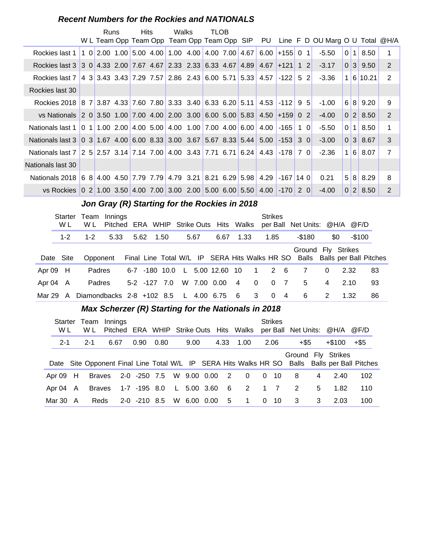#### **Recent Numbers for the Rockies and NATIONALS**

|                                                                                                               | Runs | <b>Hits</b> | Walks                                            | <b>TLOB</b> |  |      |             |            | W L Team Opp Team Opp Team Opp Team Opp SIP PU Line F D OU Marg O U Total @H/A |                |                |             |                |
|---------------------------------------------------------------------------------------------------------------|------|-------------|--------------------------------------------------|-------------|--|------|-------------|------------|--------------------------------------------------------------------------------|----------------|----------------|-------------|----------------|
| Rockies last 1                                                                                                |      |             | 1 0 2.00 1.00 5.00 4.00 1.00 4.00 4.00 7.00 4.67 |             |  | 6.00 | $+155$ 0 1  |            | $-5.50$                                                                        | $\overline{0}$ | 1 <sup>1</sup> | 8.50        | 1              |
| Rockies last 3 3 0 4.33 2.00 7.67 4.67 2.33 2.33 6.33 4.67 4.89 4.67 + 121 1 2                                |      |             |                                                  |             |  |      |             |            | $-3.17$                                                                        |                |                | 0 3 9.50    | 2              |
| Rockies last 7 4 3 3.43 3.43 7.29 7.57 2.86 2.43 6.00 5.71 5.33 4.57                                          |      |             |                                                  |             |  |      | $-122$ 5 2  |            | $-3.36$                                                                        |                |                | 1 6 10.21   | 2              |
| Rockies last 30                                                                                               |      |             |                                                  |             |  |      |             |            |                                                                                |                |                |             |                |
| Rockies 2018 8 7 3.87 4.33 7.60 7.80 3.33 3.40 6.33 6.20 5.11 4.53 -112 9 5                                   |      |             |                                                  |             |  |      |             |            | $-1.00$                                                                        |                |                | 6 8 9.20    | 9              |
| vs Nationals 2 0 3.50 1.00 7.00 4.00 2.00 3.00 6.00 5.00 5.83 4.50 + 159 0 2                                  |      |             |                                                  |             |  |      |             |            | $-4.00$                                                                        |                |                | 0 2 8.50    | 2              |
| Nationals last 1   0 1   1.00 2.00   4.00 5.00   4.00 1.00   7.00 4.00   6.00                                 |      |             |                                                  |             |  | 4.00 | $-165$      | $1 \Omega$ | $-5.50$                                                                        | 0 <sup>1</sup> |                | $1 \, 8.50$ | $\mathbf 1$    |
| Nationals last 3 \ 0 \ 3 \ 1.67 \ 4.00 \ 6.00 \ 8.33 \ 3.00 \ 3.67 \ 5.67 \ 8.33 \ 5.44 \ 5.00 \ -153 \ 3 \ 0 |      |             |                                                  |             |  |      |             |            | $-3.00$                                                                        |                |                | 0 3 8.67    | 3              |
| Nationals last 7 2 5 2.57 3.14 7.14 7.00 4.00 3.43 7.71 6.71 6.24 4.43 -178 7 0                               |      |             |                                                  |             |  |      |             |            | $-2.36$                                                                        |                |                | 1 6 8.07    | $\overline{7}$ |
| Nationals last 30                                                                                             |      |             |                                                  |             |  |      |             |            |                                                                                |                |                |             |                |
| Nationals 2018 6 8 4.00 4.50 7.79 7.79 4.79 3.21 8.21 6.29 5.98                                               |      |             |                                                  |             |  | 4.29 | $-167$ 14 0 |            | 0.21                                                                           |                |                | 5 8 8.29    | 8              |
| vs Rockies 0 2 1.00 3.50 4.00 7.00 3.00 2.00 5.00 6.00 5.50 4.00 -170 2 0                                     |      |             |                                                  |             |  |      |             |            | $-4.00$                                                                        |                |                | 0 2 8.50    | 2              |

## Jon Gray (R) Starting for the Rockies in 2018

|               | <b>Starter</b><br>W L | Team<br>W L                 | Innings<br>Pitched ERA WHIP Strike Outs Hits Walks |      |                    |                     |              |      |               |      |          | <b>Strikes</b> |                | per Ball Net Units: @H/A @F/D                                              |               |         |    |
|---------------|-----------------------|-----------------------------|----------------------------------------------------|------|--------------------|---------------------|--------------|------|---------------|------|----------|----------------|----------------|----------------------------------------------------------------------------|---------------|---------|----|
|               |                       |                             |                                                    |      |                    |                     |              |      |               |      |          |                |                |                                                                            |               |         |    |
|               | $1 - 2$               | $1 - 2$                     | 5.33                                               | 5.62 |                    | 1.50                |              | 5.67 | 6.67          | 1.33 |          | 1.85           |                | -\$180                                                                     | \$0           | $-$100$ |    |
|               |                       |                             |                                                    |      |                    |                     |              |      |               |      |          |                |                | Ground Fly Strikes                                                         |               |         |    |
|               | Date Site             | Opponent                    |                                                    |      |                    |                     |              |      |               |      |          |                |                | Final Line Total W/L IP SERA Hits Walks HR SO Balls Balls per Ball Pitches |               |         |    |
| Apr $09$ H    |                       | Padres                      |                                                    |      |                    | $6-7$ $-180$ $10.0$ | $\mathsf{L}$ |      | 5.00 12.60 10 |      | $\sim$ 1 | 2 6            |                | 7                                                                          | $\Omega$      | 2.32    | 83 |
| Apr 04 A      |                       | Padres                      |                                                    |      | $5-2$ $-127$ $7.0$ |                     |              |      | W 7.00 0.00   | -4   | $\Omega$ | $\overline{0}$ | $\overline{7}$ | 5                                                                          | 4             | 2.10    | 93 |
| Mar 29 $\,$ A |                       | Diamondbacks $2-8$ +102 8.5 |                                                    |      |                    |                     | −L.          |      | 4.00 6.75     | - 6  | 3        | 0              | $\overline{4}$ | 6                                                                          | $\mathcal{P}$ | 1.32    | 86 |

#### **Max Scherzer (R) Starting for the Nationals in 2018**

| <b>Starter</b><br>W L |    | Team<br>W L   | Innings |                  |                          |             |                | Pitched ERA WHIP Strike Outs Hits Walks |                | <b>Strikes</b> | per Ball Net Units: @H/A |   |                    | @F/D                                                                                          |  |
|-----------------------|----|---------------|---------|------------------|--------------------------|-------------|----------------|-----------------------------------------|----------------|----------------|--------------------------|---|--------------------|-----------------------------------------------------------------------------------------------|--|
| $2 - 1$               |    | $2 - 1$       | 6.67    | 0.90             | 0.80                     | 9.00        | 4.33           | $-1.00$                                 |                | 2.06           | +\$5                     |   | $+\$100$           | +\$5                                                                                          |  |
|                       |    |               |         |                  |                          |             |                |                                         |                |                |                          |   | Ground Fly Strikes | Date Site Opponent Final Line Total W/L IP SERA Hits Walks HR SO Balls Balls per Ball Pitches |  |
| Apr 09                | H. | Braves        |         |                  | 2-0 -250 7.5 W 9.00 0.00 |             | $\overline{2}$ | $\overline{0}$                          |                | $0 \t10$       | 8                        | 4 | 2.40               | 102                                                                                           |  |
| Apr 04                | A  | <b>Braves</b> |         | 1-7 -195 8.0     |                          | L 5.00 3.60 | - 6            | 2 1 7                                   |                |                | 2                        | 5 | 1.82               | 110                                                                                           |  |
| Mar 30                | A  | Reds          |         | $2-0$ $-210$ 8.5 |                          | W 6.00 0.00 | 5              | $\overline{1}$                          | $\overline{0}$ | -10            | 3                        | 3 | 2.03               | 100                                                                                           |  |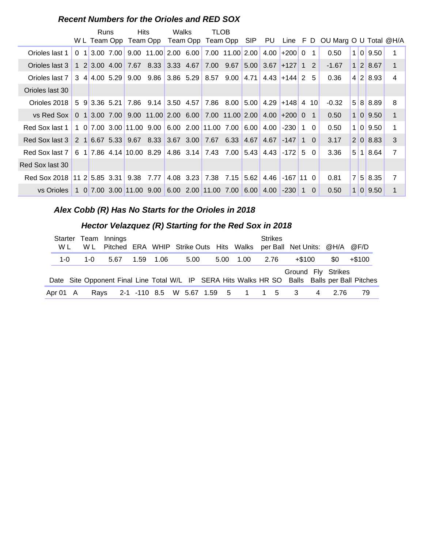#### **Recent Numbers for the Orioles and RED SOX**

|                                                                                |  | Runs |                 | <b>Hits</b> |                                   | Walks |           | <b>TLOB</b><br>W L Team Opp Team Opp Team Opp Team Opp SIP |           |      |                             |             |                |                 | PU Line F D OU Marg O U Total @H/A |     |                |                |
|--------------------------------------------------------------------------------|--|------|-----------------|-------------|-----------------------------------|-------|-----------|------------------------------------------------------------|-----------|------|-----------------------------|-------------|----------------|-----------------|------------------------------------|-----|----------------|----------------|
| Orioles last 1                                                                 |  |      | $0$ 1 3.00 7.00 |             |                                   |       |           | 9.00 11.00 2.00 6.00 7.00 11.00 2.00 4.00 + 200            |           |      |                             |             | $\Omega$       | 1               | 0.50                               | 1 0 | 9.50           | 1              |
| Orioles last 3                                                                 |  |      |                 |             | 1 2 3.00 4.00 7.67 8.33 3.33 4.67 |       |           | 7.00 9.67                                                  |           |      | $5.00$ 3.67 + 127 1 2       |             |                |                 | $-1.67$                            |     | $1 \ 2 \ 8.67$ | $\mathbf 1$    |
| Orioles last 7                                                                 |  |      | 3 4 4.00 5.29   |             | $9.00$ $9.86$ 3.86 5.29           |       |           | 8.57                                                       | 9.00      | 4.71 | $4.43$ + 144 2              |             |                | -5              | 0.36                               |     | 4 2 8.93       | 4              |
| Orioles last 30                                                                |  |      |                 |             |                                   |       |           |                                                            |           |      |                             |             |                |                 |                                    |     |                |                |
| Orioles 2018                                                                   |  |      | 15913.365.21    |             | $7.86$ 9.14 3.50 4.57             |       |           |                                                            | 7.86 8.00 |      | $5.00$   4.29 + 148   4     |             |                | 10 <sup>1</sup> | $-0.32$                            |     | 5 8 8 8 8 9    | 8              |
| vs Red Sox   0 1 3.00 7.00 9.00 11.00 2.00 6.00 7.00 11.00 2.00 4.00 + 200 0 1 |  |      |                 |             |                                   |       |           |                                                            |           |      |                             |             |                |                 | 0.50                               |     | 1 0 9.50       | $\mathbf{1}$   |
| Red Sox last 1                                                                 |  |      |                 |             | 1 0 7.00 3.00 11.00 9.00          |       |           | 6.00 2.00 11.00 7.00                                       |           | 6.00 | 4.00                        | $-230$      | $\overline{1}$ | $\Omega$        | 0.50                               |     | 1 0 9.50       | 1              |
| Red Sox last 3                                                                 |  |      |                 |             |                                   |       |           | 2 1 6.67 5.33 9.67 8.33 3.67 3.00 7.67 6.33 4.67 4.67      |           |      |                             | $-147$      | $\overline{1}$ | $\Omega$        | 3.17                               |     | 2 0 8.83       | 3              |
| Red Sox last 7   6 1   7.86 4.14   10.00 8.29   4.86 3.14   7.43 7.00          |  |      |                 |             |                                   |       |           |                                                            |           |      | $5.43$   4.43   -172        |             | $5^{\circ}$    | $\Omega$        | 3.36                               | 5 1 | 8.64           | 7              |
| Red Sox last 30                                                                |  |      |                 |             |                                   |       |           |                                                            |           |      |                             |             |                |                 |                                    |     |                |                |
| Red Sox 2018 11 2 5.85 3.31 9.38                                               |  |      |                 |             | 7.77                              |       | 4.08 3.23 | 7.38                                                       | 7.15      | 5.62 | 4.46                        | $-167$ 11 0 |                |                 | 0.81                               |     | 7 5 8.35       | $\overline{7}$ |
| vs Orioles                                                                     |  |      |                 |             |                                   |       |           | 1 0 7.00 3.00 11.00 9.00 6.00 2.00 11.00 7.00              |           |      | $6.00 \,   \, 4.00 \,   \,$ | $-230$      | 1              | $\Omega$        | 0.50                               | 1 0 | 9.50           |                |

**Alex Cobb (R) Has No Starts for the Orioles in 2018**

#### **..........Hector Velazquez (R) Starting for the Red Sox in 2018**

| W L         |     | Starter Team Innings<br>W L Pitched ERA WHIP Strike Outs Hits Walks per Ball Net Units: @H/A @F/D |           |      |  |                | <b>Strikes</b> |        |                    |        |
|-------------|-----|---------------------------------------------------------------------------------------------------|-----------|------|--|----------------|----------------|--------|--------------------|--------|
| 1- $\Omega$ | 1-0 | 5.67                                                                                              | 1.59 1.06 | 5.00 |  | 5.00 1.00 2.76 |                | +\$100 | <b>SO</b>          | +\$100 |
|             |     | Date Site Opponent Final Line Total W/L IP SERA Hits Walks HR SO Balls Balls per Ball Pitches     |           |      |  |                |                |        | Ground Fly Strikes |        |
| Apr 01 A    |     | Rays 2-1 -110 8.5 W 5.67 1.59 5 1 1 5 3 4 2.76                                                    |           |      |  |                |                |        |                    | 79     |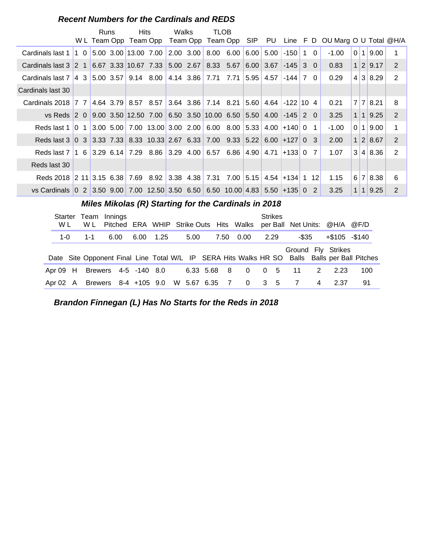|                                                                              |                                                      | W L Team Opp | Runs | <b>Hits</b>                                                                                                  | Team Opp | Walks       |  | <b>TLOB</b><br>Team Opp Team Opp |                   |      | SIP PU         |                |     |          | Line $F D$ OU Marg O U Total $@H/A$ |                 |       |                      |                |
|------------------------------------------------------------------------------|------------------------------------------------------|--------------|------|--------------------------------------------------------------------------------------------------------------|----------|-------------|--|----------------------------------|-------------------|------|----------------|----------------|-----|----------|-------------------------------------|-----------------|-------|----------------------|----------------|
| Cardinals last 1                                                             | $\begin{bmatrix} 1 & 0 \end{bmatrix}$                |              |      | 5.00 3.00 13.00 7.00                                                                                         |          | $2.00$ 3.00 |  |                                  | $8.00 \quad 6.00$ | 6.00 | 5.00           | $-150$         | 1 0 |          | $-1.00$                             | 0 1             |       | 9.00                 | $\mathbf 1$    |
| Cardinals last $3 \,   2 \, 1$                                               |                                                      |              |      | 6.67 3.33 10.67 7.33 5.00 2.67                                                                               |          |             |  |                                  | 8.33 5.67         | 6.00 | 3.67           | $-145$         | 3   | $\Omega$ | 0.83                                |                 |       | 1 2 9.17             | 2              |
| Cardinals last $7 \mid 4 \mid 3 \mid$                                        |                                                      |              |      | 5.00 3.57 9.14 8.00 4.14 3.86 7.71 7.71                                                                      |          |             |  |                                  |                   | 5.95 | 4.57           | $-144$         | 7 0 |          | 0.29                                |                 |       | $4 \mid 3 \mid 8.29$ | $\overline{2}$ |
| Cardinals last 30                                                            |                                                      |              |      |                                                                                                              |          |             |  |                                  |                   |      |                |                |     |          |                                     |                 |       |                      |                |
| Cardinals $2018$ 7 7                                                         |                                                      |              |      | $4.64$ 3.79 8.57 8.57                                                                                        |          |             |  | $3.64$ 3.86 7.14 8.21            |                   | 5.60 | 4.64           | $-122$ 10 4    |     |          | 0.21                                |                 | 7   7 | 8.21                 | 8              |
| vs Reds $2 \theta$                                                           |                                                      |              |      | $\vert 9.00 \vert 3.50 \vert 12.50 \vert 7.00 \vert 6.50 \vert 3.50 \vert 10.00 \vert 6.50 \vert 5.50 \vert$ |          |             |  |                                  |                   |      | 4.00           | $-145$ 2 0     |     |          | 3.25                                |                 | 111   | 9.25                 | 2              |
| Reds last 1                                                                  | $\begin{bmatrix} 0 & 1 \end{bmatrix}$                |              |      | $\vert 3.00 \vert 5.00 \vert 7.00 \vert 13.00 \vert 3.00 \vert 2.00 \vert 6.00 \vert 8.00 \vert$             |          |             |  |                                  |                   | 5.33 | 4.00           | $+140$ 0       |     | -1       | $-1.00$                             | 0 <sup>11</sup> |       | 9.00                 | 1              |
| Reds last 3 0 3 3.33 7.33 8.33 10.33 2.67 6.33 7.00 9.33 5.22                |                                                      |              |      |                                                                                                              |          |             |  |                                  |                   |      |                | $6.00 + 127$ 0 |     | 3        | 2.00                                |                 |       | 1 2 8.67             | 2              |
| Reds last 7   1 \ 6   3.29 \ 6.14   7.29 \ 8.86   3.29 \ 4.00   6.57         |                                                      |              |      |                                                                                                              |          |             |  |                                  | 6.86              | 4.90 | 4.71           | $+133$ 0       |     | 7        | 1.07                                |                 |       | 3 4 8.36             | 2              |
| Reds last 30                                                                 |                                                      |              |      |                                                                                                              |          |             |  |                                  |                   |      |                |                |     |          |                                     |                 |       |                      |                |
| Reds 2018 2 11 3.15 6.38 7.69 8.92 3.38 4.38 7.31                            |                                                      |              |      |                                                                                                              |          |             |  |                                  | 7.00              | 5.15 |                | $4.54$ +134 1  |     | 12       | 1.15                                |                 | 6 7   | 8.38                 | 6              |
| vs Cardinals 0 2 3.50 9.00 7.00 12.50 3.50 6.50 6.50 10.00 4.83 5.50 + 135 0 |                                                      |              |      |                                                                                                              |          |             |  |                                  |                   |      |                |                | 2   | 3.25     |                                     | 1 1             | 9.25  | 2                    |                |
|                                                                              | Miles Mikolas (R) Starting for the Cardinals in 2018 |              |      |                                                                                                              |          |             |  |                                  |                   |      |                |                |     |          |                                     |                 |       |                      |                |
| Starter Team Innings                                                         |                                                      |              |      |                                                                                                              |          |             |  |                                  |                   |      | <b>Strikes</b> |                |     |          |                                     |                 |       |                      |                |

#### **Recent Numbers for the Cardinals and REDS**

| W L |         | WL Pitched ERA WHIP Strike Outs Hits Walks per Ball Net Units: @H/A @F/D                      |           |      |  |            | <u>uunvu</u> |                    |   |               |     |  |
|-----|---------|-----------------------------------------------------------------------------------------------|-----------|------|--|------------|--------------|--------------------|---|---------------|-----|--|
|     | 1-0 1-1 | 6.00                                                                                          | 6.00 1.25 | 5.00 |  | 7.50  0.00 | 2.29         | -\$35              |   | +\$105 -\$140 |     |  |
|     |         | Date Site Opponent Final Line Total W/L IP SERA Hits Walks HR SO Balls Balls per Ball Pitches |           |      |  |            |              | Ground Fly Strikes |   |               |     |  |
|     |         | Apr 09 H Brewers 4-5 -140 8.0 6.33 5.68 8 0 0 5 11 2 2.23                                     |           |      |  |            |              |                    |   |               | 100 |  |
|     |         | Apr 02 A Brewers 8-4 +105 9.0 W 5.67 6.35 7 0 3 5 7                                           |           |      |  |            |              |                    | 4 | 2.37          | 91  |  |

**Brandon Finnegan (L) Has No Starts for the Reds in 2018**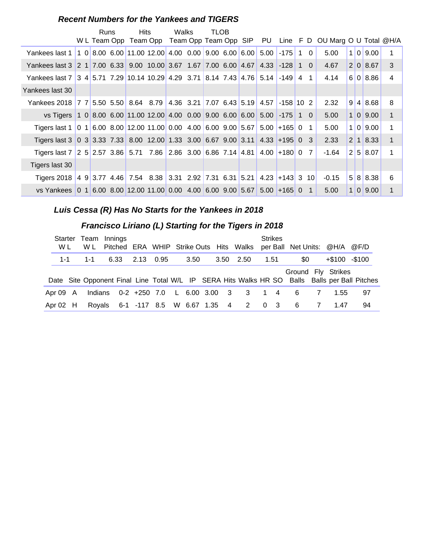| <b>Recent Numbers for the Yankees and TIGERS</b> |  |  |  |  |
|--------------------------------------------------|--|--|--|--|
|--------------------------------------------------|--|--|--|--|

|                                                                                                 |  | Runs | <b>Hits</b> |                                                                       | Walks | TLOB |  |                |             |     |                |                                                                                |     |                      |              |
|-------------------------------------------------------------------------------------------------|--|------|-------------|-----------------------------------------------------------------------|-------|------|--|----------------|-------------|-----|----------------|--------------------------------------------------------------------------------|-----|----------------------|--------------|
|                                                                                                 |  |      |             |                                                                       |       |      |  |                |             |     |                | W L Team Opp Team Opp Team Opp Team Opp SIP PU Line F D OU Marg O U Total @H/A |     |                      |              |
| Yankees last 1   1 0   8.00 6.00   11.00 12.00   4.00 0.00   9.00 6.00   6.00   5.00            |  |      |             |                                                                       |       |      |  |                | $-175$      | 1 0 |                | 5.00                                                                           | 1 0 | 9.00                 | 1            |
| Yankees last 3 2 1 7.00 6.33 9.00 10.00 3.67 1.67 7.00 6.00 4.67 4.33 -128 1 0                  |  |      |             |                                                                       |       |      |  |                |             |     |                | 4.67                                                                           |     | 2 0 8.67             | 3            |
| Yankees last 7 3 4 5.71 7.29 10.14 10.29 4.29 3.71 8.14 7.43 4.76 5.14 -149 4 1                 |  |      |             |                                                                       |       |      |  |                |             |     |                | 4.14                                                                           |     | 6 0 8.86             | 4            |
| Yankees last 30                                                                                 |  |      |             |                                                                       |       |      |  |                |             |     |                |                                                                                |     |                      |              |
| Yankees 2018   7 7                                                                              |  |      |             | $5.50$ $5.50$ $8.64$ $8.79$ $4.36$ $3.21$ $7.07$ $6.43$ $5.19$ $4.57$ |       |      |  |                | $-158$ 10 2 |     |                | 2.32                                                                           |     | 9 4 8.68             | 8            |
| vs Tigers 1 0 8.00 6.00 11.00 12.00 4.00 0.00 9.00 6.00 6.00 5.00 -175 1 0                      |  |      |             |                                                                       |       |      |  |                |             |     |                | 5.00                                                                           |     | 1 0 9.00             | 1            |
| Tigers last 1   0 1   6.00 8.00   12.00 11.00   0.00 4.00   6.00 9.00   5.67                    |  |      |             |                                                                       |       |      |  | $5.00 + 165$ 0 |             |     | $\overline{1}$ | 5.00                                                                           | 1 0 | 9.00                 | 1            |
| Tigers last 3   0 3   3.33 7.33   8.00 12.00   1.33 3.00   6.67 9.00   3.11   4.33   +195   0 3 |  |      |             |                                                                       |       |      |  |                |             |     |                | 2.33                                                                           |     | $2 \mid 1 \mid 8.33$ | $\mathbf{1}$ |
| Tigers last 7 2 5 2.57 3.86 5.71 7.86 2.86 3.00 6.86 7.14 4.81 4.00 + 180 0 7                   |  |      |             |                                                                       |       |      |  |                |             |     |                | -1.64                                                                          |     | 2 5 8.07             | 1            |
| Tigers last 30                                                                                  |  |      |             |                                                                       |       |      |  |                |             |     |                |                                                                                |     |                      |              |
| Tigers 2018 4 9 3.77 4.46 7.54 8.38 3.31 2.92 7.31 6.31 5.21 4.23 + 143 3 10                    |  |      |             |                                                                       |       |      |  |                |             |     |                | $-0.15$                                                                        |     | 5 8 8.38             | 6            |
| vs Yankees 0 1 6.00 8.00 12.00 11.00 0.00 4.00 6.00 9.00 5.67 5.00 +165 0 1                     |  |      |             |                                                                       |       |      |  |                |             |     |                | 5.00                                                                           |     | 1 0 9.00             | 1            |

#### **Luis Cessa (R) Has No Starts for the Yankees in 2018**

## **Francisco Liriano (L) Starting for the Tigers in 2018**

| Starter<br>W L |       | W L | Team Innings<br>Pitched ERA WHIP Strike Outs Hits Walks |  |      |  |           |      | <b>Strikes</b> | per Ball Net Units: @H/A @F/D |                |                  |                                                                                               |
|----------------|-------|-----|---------------------------------------------------------|--|------|--|-----------|------|----------------|-------------------------------|----------------|------------------|-----------------------------------------------------------------------------------------------|
|                | $1-1$ | 1-1 |                                                         |  | 3.50 |  | 3.50 2.50 | 1.51 |                | \$0                           |                | $+\$100 - \$100$ |                                                                                               |
|                |       |     |                                                         |  |      |  |           |      |                | Ground Fly Strikes            |                |                  | Date Site Opponent Final Line Total W/L IP SERA Hits Walks HR SO Balls Balls per Ball Pitches |
| Apr 09 A       |       |     | Indians 0-2 +250 7.0 L 6.00 3.00 3 3 1 4                |  |      |  |           |      |                | 6                             | <sup>7</sup>   | 1.55             | 97                                                                                            |
| Apr 02 H       |       |     | Royals 6-1 -117 8.5 W 6.67 1.35 4 2 0 3                 |  |      |  |           |      |                | -6                            | $\overline{7}$ | 1.47             | 94                                                                                            |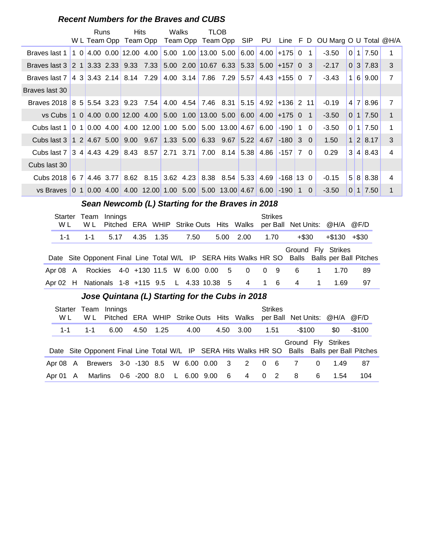#### **Recent Numbers for the Braves and CUBS**

|                                                                          | Runs | <b>Hits</b><br>W L Team Opp Team Opp |                                                                         | Walks | <b>TLOB</b>                               |                   |      |                  |                | Team Opp Team Opp SIP PU Line F D OU Marg O U Total @H/A |                |                      |                |
|--------------------------------------------------------------------------|------|--------------------------------------|-------------------------------------------------------------------------|-------|-------------------------------------------|-------------------|------|------------------|----------------|----------------------------------------------------------|----------------|----------------------|----------------|
| Braves last 1                                                            |      |                                      | $10 4.00 0.00 12.00 4.00 5.00 1.00 13.00 5.00 6.00 $                    |       |                                           |                   | 4.00 | $+175$ 0         |                | $-3.50$                                                  |                | $0 \mid 1 \mid 7.50$ | 1              |
| Braves last 3                                                            |      |                                      |                                                                         |       | $5.00$ 2.00 10.67 6.33 5.33 5.00 +157 0 3 |                   |      |                  |                | $-2.17$                                                  |                | $0 \mid 3 \mid 7.83$ | 3              |
| Braves last 7                                                            |      |                                      | $ 4 \t3 \t3.43 \t2.14 \t8.14 \t7.29 \t4.00 \t3.14 \t7.86 \t7.29 \t5.57$ |       |                                           |                   |      | $4.43 + 15500$   | 7              | $-3.43$                                                  |                | 1 6 9.00             | $\overline{7}$ |
| Braves last 30                                                           |      |                                      |                                                                         |       |                                           |                   |      |                  |                |                                                          |                |                      |                |
| Braves 2018 8 5 5.54 3.23 9.23 7.54 4.00 4.54 7.46 8.31 5.15             |      |                                      |                                                                         |       |                                           |                   |      | $4.92$ +136 2 11 |                | $-0.19$                                                  |                | 4 7 8.96             | $\overline{7}$ |
| vs Cubs                                                                  |      |                                      | $10 4.00 0.00 12.00 4.00 5.00 1.00 13.00 5.00 6.00 4.00 +175 0$         |       |                                           |                   |      |                  | $\overline{1}$ | $-3.50$                                                  |                | $0 \mid 1 \mid 7.50$ | $\mathbf{1}$   |
| Cubs last 1                                                              |      |                                      |                                                                         |       |                                           | $5.00$ 13.00 4.67 | 6.00 | -190   1         | $\Omega$       | $-3.50$                                                  |                | $0 \mid 1 \mid 7.50$ | $\mathbf 1$    |
| Cubs last 3   1 2   4.67 5.00   9.00 9.67   1.33 5.00   6.33 9.67   5.22 |      |                                      |                                                                         |       |                                           |                   | 4.67 | $-180$ 3 0       |                | 1.50                                                     |                | 1 2 8.17             | 3              |
| Cubs last 7 3 4 4.43 4.29 8.43 8.57 2.71 3.71 7.00 8.14 5.38             |      |                                      |                                                                         |       |                                           |                   | 4.86 | $-157$ 7 0       |                | 0.29                                                     |                | 3 4 8.43             | $\overline{4}$ |
| Cubs last 30                                                             |      |                                      |                                                                         |       |                                           |                   |      |                  |                |                                                          |                |                      |                |
| Cubs 2018 6 7 4.46 3.77                                                  |      |                                      | 8.62 8.15 3.62 4.23 8.38 8.54 5.33                                      |       |                                           |                   | 4.69 | $-168$ 13 0      |                | $-0.15$                                                  |                | 5 8 8.38             | $\overline{4}$ |
| vs Braves 0 1 0.00 4.00 4.00 12.00 1.00 5.00 5.00 13.00 4.67             |      |                                      |                                                                         |       |                                           |                   |      | $6.00$ -190 1    | $\Omega$       | $-3.50$                                                  | $\overline{0}$ | 1 7.50               | $\mathbf 1$    |

#### Sean Newcomb (L) Starting for the Braves in 2018

| Starter<br>W L |         | W L | Team Innings<br>Pitched ERA WHIP Strike Outs Hits Walks |           |      |  |                                                    |      | <b>Strikes</b> |         |             | per Ball Net Units: @H/A @F/D                                                                                       |    |
|----------------|---------|-----|---------------------------------------------------------|-----------|------|--|----------------------------------------------------|------|----------------|---------|-------------|---------------------------------------------------------------------------------------------------------------------|----|
|                | $1 - 1$ |     | $1 - 1$ 5.17                                            | 4.35 1.35 | 7.50 |  | 5.00 2.00                                          | 1.70 |                | $+\$30$ |             | $+\$130 + \$30$                                                                                                     |    |
|                |         |     |                                                         |           |      |  |                                                    |      |                |         |             | Ground Fly Strikes<br>Date Site Opponent Final Line Total W/L IP SERA Hits Walks HR SO Balls Balls per Ball Pitches |    |
|                |         |     |                                                         |           |      |  | Apr 08 A Rockies 4-0 +130 11.5 W 6.00 0.00 5 0 0 9 |      |                | - 6     | $\mathbf 1$ | 1.70                                                                                                                | 89 |
|                |         |     |                                                         |           |      |  | Apr 02 H Nationals 1-8 +115 9.5 L 4.33 10.38 5 4 1 |      | - 6            | 4       |             | 1.69                                                                                                                | 97 |

#### **..........Jose Quintana (L) Starting for the Cubs in 2018**

| W L      |         | Starter Team<br>W L | Innings |  |                                    |      |     |                | <b>Strikes</b> |        |          | Pitched ERA WHIP Strike Outs Hits Walks per Ball Net Units: @H/A @F/D |                                                                                               |
|----------|---------|---------------------|---------|--|------------------------------------|------|-----|----------------|----------------|--------|----------|-----------------------------------------------------------------------|-----------------------------------------------------------------------------------------------|
|          | $1 - 1$ | 1-1                 | 6.00    |  | 4.50 1.25                          | 4.00 |     | 4.50 3.00      | 1.51           | -\$100 |          | \$0                                                                   | -\$100                                                                                        |
|          |         |                     |         |  |                                    |      |     |                |                |        |          | Ground Fly Strikes                                                    | Date Site Opponent Final Line Total W/L IP SERA Hits Walks HR SO Balls Balls per Ball Pitches |
| Apr 08 A |         |                     |         |  | Brewers 3-0 -130 8.5 W 6.00 0.00 3 |      |     | $2 \t 0 \t 6$  |                |        | $\Omega$ | 1.49                                                                  | 87                                                                                            |
| Apr 01 A |         | Marlins             |         |  | 0-6 -200 8.0 L 6.00 9.00           |      | - 6 | $\overline{4}$ | $0\quad 2$     | -8     | 6        | 1.54                                                                  | 104                                                                                           |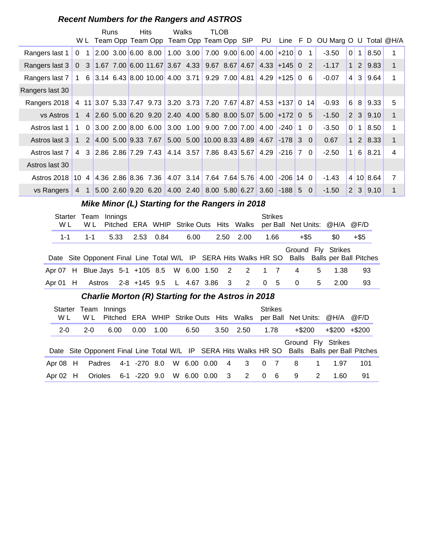#### **Recent Numbers for the Rangers and ASTROS**

|                 |                |             | <b>Runs</b> |  | <b>Hits</b>           | Walks | <b>TLOB</b><br>W L Team Opp Team Opp Team Opp Team Opp SIP PU     |  |                  |    |          | Line F D OU Marg O U Total @H/A |                |              |               |                |
|-----------------|----------------|-------------|-------------|--|-----------------------|-------|-------------------------------------------------------------------|--|------------------|----|----------|---------------------------------|----------------|--------------|---------------|----------------|
| Rangers last 1  | $\Omega$       |             |             |  |                       |       | 2.00 3.00 6.00 8.00 1.00 3.00 7.00 9.00 6.00                      |  | $4.00$ +210 0    |    | 1        | $-3.50$                         | $\Omega$       | $\mathbf{1}$ | 8.50          |                |
| Rangers last 3  |                |             |             |  |                       |       | 0 3 1.67 7.00 6.00 11.67 3.67 4.33 9.67 8.67 4.67                 |  | $4.33$ + 145 0 2 |    |          | $-1.17$                         | 1 <sup>1</sup> | 2            | 9.83          | 1              |
| Rangers last 7  | $\mathbf{1}$   |             |             |  |                       |       | 6 3.14 6.43 8.00 10.00 4.00 3.71 9.29 7.00 4.81                   |  | $4.29$ +125 0    | -6 |          | $-0.07$                         | $\overline{4}$ | 3            | 9.64          | 1              |
| Rangers last 30 |                |             |             |  |                       |       |                                                                   |  |                  |    |          |                                 |                |              |               |                |
| Rangers 2018    |                |             |             |  |                       |       | 4 11 3.07 5.33 7.47 9.73 3.20 3.73 7.20 7.67 4.87 4.53 + 137 0 14 |  |                  |    |          | $-0.93$                         | 6              | 8            | 9.33          | 5              |
| vs Astros       | $\mathbf{1}$   |             |             |  |                       |       | 4 2.60 5.00 6.20 9.20 2.40 4.00 5.80 8.00 5.07                    |  | $5.00$ +172 0 5  |    |          | $-1.50$                         | $\vert$ 2      |              | 3 9.10        | 1              |
| Astros last 1   | 1              | $\Omega$    |             |  |                       |       | $\vert$ 3.00 2.00 8.00 6.00 3.00 1.00 9.00 7.00 7.00              |  | $4.00$ -240 1    |    | $\Omega$ | $-3.50$                         | 0              | $\mathbf{1}$ | 8.50          | 1              |
| Astros last 3   | $\mathbf{1}$   |             |             |  |                       |       | $2 4.00 5.00 9.33 7.67 5.00 5.00 10.00 8.33 4.89 4.67  -178 30$   |  |                  |    |          | 0.67                            | 1 <sup>1</sup> |              | $2 \mid 8.33$ | $\mathbf{1}$   |
| Astros last 7   | $\overline{4}$ |             |             |  |                       |       | 3 2.86 2.86 7.29 7.43 4.14 3.57 7.86 8.43 5.67                    |  | $4.29$ -216 7    |    | $\Omega$ | $-2.50$                         | $\mathbf 1$    | 6            | 8.21          | 4              |
| Astros last 30  |                |             |             |  |                       |       |                                                                   |  |                  |    |          |                                 |                |              |               |                |
| Astros 2018     | 10             |             |             |  | 4 4.36 2.86 8.36 7.36 |       | 4.07 3.14 7.64 7.64 5.76                                          |  | $4.00$ -206 14 0 |    |          | $-1.43$                         |                |              | 4 10 8.64     | $\overline{7}$ |
| vs Rangers      | $\overline{4}$ | $\mathbf 1$ |             |  |                       |       | 5.00 2.60 9.20 6.20 4.00 2.40 8.00 5.80 6.27 3.60 -188 5          |  |                  |    | $\Omega$ | $-1.50$                         | 2              | 3            | 9.10          | 1              |

#### **Mike Minor (L) Starting for the Rangers in 2018**

| Starter<br>W L |         | Team Innings<br>W L |  |                |  |      |  |                                                     | <b>Strikes</b> | Pitched ERA WHIP Strike Outs Hits Walks per Ball Net Units: @H/A @F/D                                               |   |      |      |  |
|----------------|---------|---------------------|--|----------------|--|------|--|-----------------------------------------------------|----------------|---------------------------------------------------------------------------------------------------------------------|---|------|------|--|
|                | $1 - 1$ | $1 - 1$             |  | 5.33 2.53 0.84 |  | 6.00 |  | 2.50 2.00                                           | 1.66           | +\$5                                                                                                                |   | SO.  | +\$5 |  |
|                |         |                     |  |                |  |      |  |                                                     |                | Ground Fly Strikes<br>Date Site Opponent Final Line Total W/L IP SERA Hits Walks HR SO Balls Balls per Ball Pitches |   |      |      |  |
|                |         |                     |  |                |  |      |  | Apr 07 H Blue Jays 5-1 +105 8.5 W 6.00 1.50 2 2 1 7 |                | $\overline{4}$                                                                                                      | 5 | 1.38 | 93   |  |
| Apr 01 H       |         |                     |  |                |  |      |  | Astros 2-8 +145 9.5 L 4.67 3.86 3 2 0 5             |                | $\overline{0}$                                                                                                      | 5 | 2.00 | 93   |  |

#### **Charlie Morton (R) Starting for the Astros in 2018**

| Starter<br>W L | Team<br>W L | Innings |              |      |             |                         | Pitched ERA WHIP Strike Outs Hits Walks |          | <b>Strikes</b> | per Ball Net Units: @H/A |              |                     | @F/D                                                                                          |
|----------------|-------------|---------|--------------|------|-------------|-------------------------|-----------------------------------------|----------|----------------|--------------------------|--------------|---------------------|-----------------------------------------------------------------------------------------------|
| $2 - 0$        | $2 - 0$     | 6.00    | 0.00         | 1.00 | 6.50        | 3.50                    | 2.50                                    |          | 1.78           | +\$200                   |              | $+$ \$200 $+$ \$200 |                                                                                               |
|                |             |         |              |      |             |                         |                                         |          |                | Ground Fly Strikes       |              |                     | Date Site Opponent Final Line Total W/L IP SERA Hits Walks HR SO Balls Balls per Ball Pitches |
| Apr $08$ H     | Padres      |         | 4-1 -270 8.0 |      |             | W 6.00 0.00 4           | 3 0 7                                   |          |                | -8                       | $\mathbf{1}$ | 1.97                | 101                                                                                           |
| Apr $02$ H     | Orioles     |         | 6-1 -220 9.0 |      | W 6.00 0.00 | $\overline{\mathbf{3}}$ | $2 \rightarrow$                         | $\Omega$ | - 6            | 9                        | 2            | 1.60                | 91                                                                                            |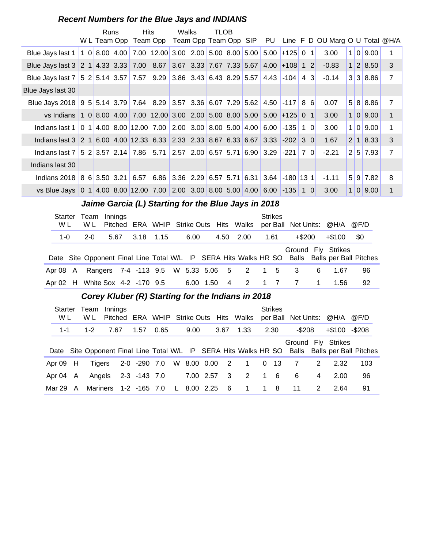#### **Recent Numbers for the Blue Jays and INDIANS**

|                                                                                                                                                                                                                                                      |  | Runs |  | <b>Hits</b><br>W L Team Opp Team Opp                                                      |  | Walks |  | TLOB |  |  |                                                |  |           |                | Team Opp Team Opp SIP PU Line F D OU Marg O U Total @H/A |     |          |                |
|------------------------------------------------------------------------------------------------------------------------------------------------------------------------------------------------------------------------------------------------------|--|------|--|-------------------------------------------------------------------------------------------|--|-------|--|------|--|--|------------------------------------------------|--|-----------|----------------|----------------------------------------------------------|-----|----------|----------------|
| Blue Jays last 1                                                                                                                                                                                                                                     |  |      |  | $1 \t0 \t8.00 \t4.00 \t7.00 \t12.00 \t3.00 \t2.00 \t5.00 \t8.00 \t5.00 \t5.00 \t+125 \t0$ |  |       |  |      |  |  |                                                |  |           | $\overline{1}$ | 3.00                                                     | 1 0 | 9.00     | 1              |
| Blue Jays last 3 2 1 4.33 3.33 7.00 8.67 3.67 3.33 7.67 7.33 5.67                                                                                                                                                                                    |  |      |  |                                                                                           |  |       |  |      |  |  | $4.00$ +108 1 2                                |  |           |                | $-0.83$                                                  |     | 1 2 8.50 | 3              |
| Blue Jays last 7                                                                                                                                                                                                                                     |  |      |  | 5 2 5.14 3.57 7.57 9.29 3.86 3.43 6.43 8.29 5.57 4.43 -104                                |  |       |  |      |  |  |                                                |  | 4 3       |                | $-0.14$                                                  |     | 3 3 8.86 | $\overline{7}$ |
| Blue Jays last 30                                                                                                                                                                                                                                    |  |      |  |                                                                                           |  |       |  |      |  |  |                                                |  |           |                |                                                          |     |          |                |
| Blue Jays 2018 9 5 5.14 3.79 7.64 8.29 3.57 3.36 6.07 7.29 5.62 4.50 -117 8 6                                                                                                                                                                        |  |      |  |                                                                                           |  |       |  |      |  |  |                                                |  |           |                | 0.07                                                     |     | 5 8 8.86 | $\overline{7}$ |
| 1 0 8.00 4.00 7.00 12.00 3.00 2.00 5.00 8.00 5.00 5.00 +125 0 1<br>$\mathbf 1$<br>1 0 9.00<br>vs Indians<br>3.00<br>4.00 8.00 12.00 7.00 2.00 3.00 8.00 5.00 4.00<br>0 <sub>1</sub><br>$6.00$ -135<br>3.00<br>1 0 <br>9.00<br>Indians last 1<br>1 OI |  |      |  |                                                                                           |  |       |  |      |  |  |                                                |  |           |                |                                                          |     |          |                |
| lndians last 3 2 1 6.00 4.00 12.33 6.33 2.33 2.33 8.67 6.33 6.67 3.33 -202 3 0<br>1.67<br>$2 \mid 1 \mid 8.33 \mid$                                                                                                                                  |  |      |  |                                                                                           |  |       |  |      |  |  |                                                |  |           |                | 1                                                        |     |          |                |
|                                                                                                                                                                                                                                                      |  |      |  |                                                                                           |  |       |  |      |  |  |                                                |  |           |                | 3                                                        |     |          |                |
| Indians last 7                                                                                                                                                                                                                                       |  |      |  | 5 2 3.57 2.14 7.86 5.71 2.57 2.00 6.57 5.71 6.90 3.29 -221                                |  |       |  |      |  |  |                                                |  | <b>70</b> |                | $-2.21$                                                  |     | 2 5 7.93 | $\overline{7}$ |
| Indians last 30                                                                                                                                                                                                                                      |  |      |  |                                                                                           |  |       |  |      |  |  |                                                |  |           |                |                                                          |     |          |                |
| Indians 2018 8 6 3.50 3.21 6.57                                                                                                                                                                                                                      |  |      |  |                                                                                           |  |       |  |      |  |  | $6.86$ 3.36 2.29 6.57 5.71 6.31 3.64 -180 13 1 |  |           |                | $-1.11$                                                  |     | 5 9 7.82 | 8              |
| vs Blue Jays 0 1 4.00 8.00 12.00 7.00 2.00 3.00 8.00 5.00 4.00 6.00 -135 1 0                                                                                                                                                                         |  |      |  |                                                                                           |  |       |  |      |  |  |                                                |  |           |                | 3.00                                                     |     | 1 0 9.00 |                |
|                                                                                                                                                                                                                                                      |  |      |  | Jaime Garcia (L) Starting for the Blue Jays in 2018                                       |  |       |  |      |  |  |                                                |  |           |                |                                                          |     |          |                |

|  |       | Starter Team Innings            |      |  |           |      |        |                                                   | <b>Strikes</b> |          |          |                               |                                                                                               |
|--|-------|---------------------------------|------|--|-----------|------|--------|---------------------------------------------------|----------------|----------|----------|-------------------------------|-----------------------------------------------------------------------------------------------|
|  | W L   | W L                             |      |  |           |      |        | Pitched ERA WHIP Strike Outs Hits Walks           |                |          |          | per Ball Net Units: @H/A @F/D |                                                                                               |
|  | $1-0$ | $2 - 0$                         | 5.67 |  | 3.18 1.15 | 6.00 |        | 4.50 2.00                                         | 1.61           | $+\$200$ |          | +\$100                        | -30                                                                                           |
|  |       |                                 |      |  |           |      |        |                                                   |                |          |          | Ground Fly Strikes            | Date Site Opponent Final Line Total W/L IP SERA Hits Walks HR SO Balls Balls per Ball Pitches |
|  |       |                                 |      |  |           |      |        | Apr 08 A Rangers 7-4 -113 9.5 W 5.33 5.06 5 2 1 5 |                | -3       | 6        | 1.67                          | 96                                                                                            |
|  |       | Apr 02 H White Sox 4-2 -170 9.5 |      |  |           | 6.00 | 1.50 4 | 2 1 7                                             |                | 7        | $\sim$ 1 | 1.56                          | 92                                                                                            |

#### Corey Kluber (R) Starting for the Indians in 2018

| Starter<br>W L |   | Team<br>W L | Innings<br>Pitched |                       |      |              |             |      | ERA WHIP Strike Outs Hits Walks |             | <b>Strikes</b> | per Ball Net Units: @H/A @F/D |               |                  |                                                                                               |
|----------------|---|-------------|--------------------|-----------------------|------|--------------|-------------|------|---------------------------------|-------------|----------------|-------------------------------|---------------|------------------|-----------------------------------------------------------------------------------------------|
| 1-1            |   | 1-2         | 7.67               | 1.57                  | 0.65 |              | 9.00        | 3.67 | 1.33                            |             | 2.30           | -\$208                        |               | $+\$100 - \$208$ |                                                                                               |
|                |   |             |                    |                       |      |              |             |      |                                 |             |                | Ground Fly Strikes            |               |                  |                                                                                               |
|                |   |             |                    |                       |      |              |             |      |                                 |             |                |                               |               |                  | Date Site Opponent Final Line Total W/L IP SERA Hits Walks HR SO Balls Balls per Ball Pitches |
| Apr 09 H       |   | Tigers      |                    | 2-0 -290 7.0          |      |              |             |      | W 8.00 0.00 2 1 0 13            |             |                | -7                            | 2             | 2.32             | 103                                                                                           |
| Apr 04 A       |   |             |                    | Angels 2-3 -143 7.0   |      |              | 7.00 2.57 3 |      | 2                               | $\mathbf 1$ | - 6            | 6                             | 4             | 2.00             | 96                                                                                            |
| Mar 29         | A |             |                    | Mariners 1-2 -165 7.0 |      | $\mathsf{L}$ | 8.00 2.25   | - 6  | $1 \quad$                       |             | 18             | 11                            | $\mathcal{P}$ | 2.64             | 91                                                                                            |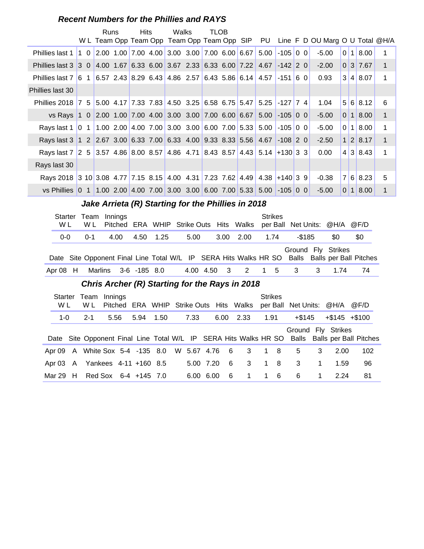#### **Recent Numbers for the Phillies and RAYS**

|                                                                  |                                                                            |             | <b>Runs</b>    |         | <b>Hits</b> |              | Walks |                                                  | <b>TLOB</b> |      |                                                    |                                                             |                     |       |           |                                 |                |     |                      |              |
|------------------------------------------------------------------|----------------------------------------------------------------------------|-------------|----------------|---------|-------------|--------------|-------|--------------------------------------------------|-------------|------|----------------------------------------------------|-------------------------------------------------------------|---------------------|-------|-----------|---------------------------------|----------------|-----|----------------------|--------------|
|                                                                  |                                                                            |             |                |         |             |              |       |                                                  |             |      | W L Team Opp Team Opp Team Opp Team Opp SIP        | PU                                                          |                     |       |           | Line F D OU Marg O U Total @H/A |                |     |                      |              |
| Phillies last 1                                                  |                                                                            |             |                |         |             |              |       | 1 0 2.00 1.00 7.00 4.00 3.00 3.00 7.00 6.00 6.67 |             |      |                                                    | 5.00                                                        | $-105$ 0 0          |       |           | $-5.00$                         | 0              | 1   | 8.00                 | 1            |
| Phillies last 3 3 0 4.00 1.67 6.33 6.00 3.67 2.33 6.33 6.00 7.22 |                                                                            |             |                |         |             |              |       |                                                  |             |      |                                                    | 4.67                                                        | $-142$ 2 0          |       |           | $-2.00$                         |                |     | 0 3 7.67             | $\mathbf{1}$ |
| Phillies last 7 6 1 6.57 2.43 8.29 6.43 4.86 2.57 6.43 5.86 6.14 |                                                                            |             |                |         |             |              |       |                                                  |             |      |                                                    | 4.57                                                        | $-151$ 6 0          |       |           | 0.93                            |                |     | 3 4 8.07             | 1            |
| Phillies last 30                                                 |                                                                            |             |                |         |             |              |       |                                                  |             |      |                                                    |                                                             |                     |       |           |                                 |                |     |                      |              |
|                                                                  | Phillies 2018 7 5 5.00 4.17 7.33 7.83 4.50 3.25 6.58 6.75 5.47             |             |                |         |             |              |       |                                                  |             |      |                                                    |                                                             | $5.25$ -127 7 4     |       |           | 1.04                            |                |     | 5 6 8.12             | 6            |
|                                                                  | vs Rays 1 0 2.00 1.00 7.00 4.00 3.00 3.00 7.00 6.00 6.67                   |             |                |         |             |              |       |                                                  |             |      |                                                    | 5.00                                                        | $-105$ 0 0          |       |           | $-5.00$                         |                |     | $0 \mid 1 \mid 8.00$ | $\mathbf{1}$ |
|                                                                  | Rays last 1   0 1   1.00 2.00   4.00 7.00   3.00 3.00   6.00 7.00   5.33   |             |                |         |             |              |       |                                                  |             |      |                                                    | 5.00                                                        | $-105$ 0 0          |       |           | $-5.00$                         | $\overline{0}$ |     | 1 8.00               | 1            |
|                                                                  | Rays last 3 1 2 2.67 3.00 6.33 7.00 6.33 4.00 9.33 8.33 5.56               |             |                |         |             |              |       |                                                  |             |      |                                                    | 4.67                                                        | $-108$ 2 0          |       |           | $-2.50$                         |                |     | 1 2 8.17             | $\mathbf{1}$ |
|                                                                  | Rays last 7 2 5 3.57 4.86 8.00 8.57 4.86 4.71 8.43 8.57 4.43 5.14 +130 3 3 |             |                |         |             |              |       |                                                  |             |      |                                                    |                                                             |                     |       |           | 0.00                            |                |     | 4 3 8.43             | 1            |
|                                                                  | Rays last 30                                                               |             |                |         |             |              |       |                                                  |             |      |                                                    |                                                             |                     |       |           |                                 |                |     |                      |              |
|                                                                  | Rays 2018 3 10 3.08 4.77 7.15 8.15 4.00 4.31 7.23 7.62 4.49 4.38 + 140 3 9 |             |                |         |             |              |       |                                                  |             |      |                                                    |                                                             |                     |       |           | $-0.38$                         |                | 7 6 | 8.23                 | 5            |
|                                                                  | vs Phillies 0 1 1.00 2.00 4.00 7.00 3.00 3.00 6.00 7.00 5.33 5.00          |             |                |         |             |              |       |                                                  |             |      |                                                    |                                                             | $-105$ 0 0          |       |           | $-5.00$                         |                |     | 0 1 8.00             | 1            |
|                                                                  |                                                                            |             |                |         |             |              |       |                                                  |             |      | Jake Arrieta (R) Starting for the Phillies in 2018 |                                                             |                     |       |           |                                 |                |     |                      |              |
|                                                                  | <b>Starter</b><br>W L                                                      | Team<br>W L |                | Innings |             |              |       | Pitched ERA WHIP Strike Outs Hits Walks          |             |      |                                                    | <b>Strikes</b>                                              | per Ball Net Units: |       |           | @H/A                            |                |     | @F/D                 |              |
|                                                                  | $0-0$                                                                      | $0 - 1$     |                | 4.00    | 4.50        | 1.25         |       | 5.00                                             |             | 3.00 | 2.00                                               | 1.74                                                        |                     |       | $-$ \$185 | \$0                             |                |     | \$0                  |              |
|                                                                  |                                                                            |             |                |         |             |              |       |                                                  |             |      |                                                    |                                                             |                     |       |           | Ground Fly Strikes              |                |     |                      |              |
|                                                                  | Date                                                                       |             |                |         |             |              |       |                                                  |             |      |                                                    | Site Opponent Final Line Total W/L IP SERA Hits Walks HR SO |                     | Balls |           | <b>Balls per Ball Pitches</b>   |                |     |                      |              |
|                                                                  | Apr 08<br>H                                                                |             | <b>Marlins</b> |         |             | 3-6 -185 8.0 |       | 4.00 4.50                                        |             | 3    | 2                                                  |                                                             | 5                   | 3     | 3         | 1.74                            |                |     | 74                   |              |
|                                                                  |                                                                            |             |                |         |             |              |       |                                                  |             |      | Chris Archar (D) Starting for the Dave in 2018     |                                                             |                     |       |           |                                 |                |     |                      |              |

#### **..........Chris Archer (R) Starting for the Rays in 2018**

| W L     | Starter Team Innings<br>W L    |      |      |      |           |      | Pitched ERA WHIP Strike Outs Hits Walks             | <b>Strikes</b> | per Ball Net Units: @H/A   |             |                   | @F/D                                                                                          |  |
|---------|--------------------------------|------|------|------|-----------|------|-----------------------------------------------------|----------------|----------------------------|-------------|-------------------|-----------------------------------------------------------------------------------------------|--|
| $1 - 0$ | $2 - 1$                        | 5.56 | 5.94 | 1.50 | 7.33      | 6.00 | 2.33                                                | 1.91           | +\$145                     |             | $+\$145$ $+\$100$ |                                                                                               |  |
|         |                                |      |      |      |           |      |                                                     |                | Ground Fly Strikes         |             |                   | Date Site Opponent Final Line Total W/L IP SERA Hits Walks HR SO Balls Balls per Ball Pitches |  |
|         |                                |      |      |      |           |      | Apr 09 A White Sox 5-4 -135 8.0 W 5.67 4.76 6 3 1 8 |                | 5                          | 3           | 2.00              | 102                                                                                           |  |
|         | Apr 03 A Yankees 4-11 +160 8.5 |      |      |      | 5.00 7.20 | $-6$ | $\overline{\mathbf{3}}$                             | 18             | $\overline{\phantom{a}}$ 3 | $\mathbf 1$ | 1.59              | 96                                                                                            |  |
|         | Mar 29 H Red Sox 6-4 +145 7.0  |      |      |      | 6.00 6.00 | - 6  | $\overline{1}$                                      | $1\quad 6$     | 6                          | $\mathbf 1$ | 2.24              | 81                                                                                            |  |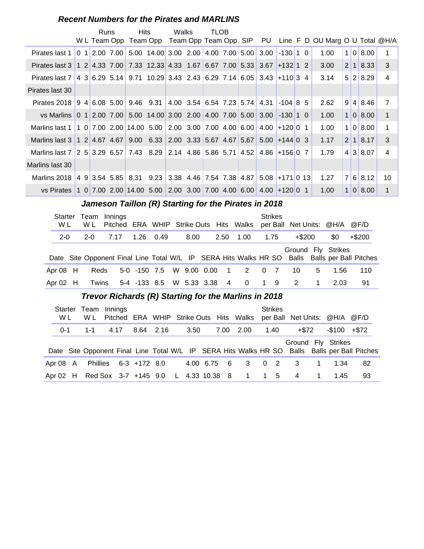#### **Recent Numbers for the Pirates and MARLINS**

|                                                                                                            |  | Runs<br>W L Team Opp | <b>Hits</b> | Team Opp Team Opp Team Opp SIP PU   | Walks | TLOB |  |                                                |            |             | Line F D OU Marg O U Total @H/A |                |                      |                |
|------------------------------------------------------------------------------------------------------------|--|----------------------|-------------|-------------------------------------|-------|------|--|------------------------------------------------|------------|-------------|---------------------------------|----------------|----------------------|----------------|
| Pirates last 1                                                                                             |  | 0 1 2.00 7.00        |             | 5.00 14.00 3.00 2.00 4.00 7.00 5.00 |       |      |  | 3.00                                           | $-130$ 1 0 |             | 1.00                            | 1              | 0 8.00               | 1              |
| Pirates last 3   1 2   4.33 7.00   7.33 12.33 4.33 1.67   6.67 7.00   5.33   3.67   +132   1 2             |  |                      |             |                                     |       |      |  |                                                |            |             | 3.00                            |                | $2 \mid 1 \mid 8.33$ | 3              |
| Pirates last 7   4 3   6.29   5.14   9.71   10.29   3.43   2.43   6.29   7.14   6.05   3.43   +110   3   4 |  |                      |             |                                     |       |      |  |                                                |            |             | 3.14                            |                | 5 2 8.29             | $\overline{4}$ |
| Pirates last 30                                                                                            |  |                      |             |                                     |       |      |  |                                                |            |             |                                 |                |                      |                |
| Pirates 2018 9 4 6.08 5.00 9.46 9.31                                                                       |  |                      |             |                                     |       |      |  | 4.00 3.54 6.54 7.23 5.74 4.31                  | $-104$ 8   | -5          | 2.62                            |                | 9 4 8.46             | $\overline{7}$ |
| vs Marlins 0 1 2.00 7.00 5.00 14.00 3.00 2.00 4.00 7.00 5.00 3.00                                          |  |                      |             |                                     |       |      |  |                                                | $-130$ 1 0 |             | 1.00                            |                | 1 0 8.00             | $\mathbf{1}$   |
| Marlins last 1   1 0   7.00   2.00   14.00   5.00   2.00   3.00   7.00   4.00   6.00   4.00   +120   0     |  |                      |             |                                     |       |      |  |                                                |            | $\mathbf 1$ | 1.00                            | 1              | 0 8.00               | 1              |
| Marlins last 3   1 2   4.67   4.67   9.00   6.33   2.00   3.33   5.67   4.67   5.67   5.00   +144   0   3  |  |                      |             |                                     |       |      |  |                                                |            |             | 1.17                            |                | 2 1 8.17             | 3              |
| Marlins last 7 2 5 3.29 6.57 7.43 8.29 2.14 4.86 5.86 5.71 4.52                                            |  |                      |             |                                     |       |      |  | $4.86 + 1560$                                  |            | 7           | 1.79                            |                | 4 3 8.07             | 4              |
| Marlins last 30                                                                                            |  |                      |             |                                     |       |      |  |                                                |            |             |                                 |                |                      |                |
| Marlins 2018 4 9 3.54 5.85 8.31                                                                            |  |                      |             |                                     |       |      |  | $9.23$ 3.38 4.46 7.54 7.38 4.87 5.08 +171 0 13 |            |             | 1.27                            | $\overline{7}$ | 6 8.12               | 10             |
| vs Pirates 1 0 7.00 2.00 14.00 5.00 2.00 3.00 7.00 4.00 6.00 4.00 + 120 0 1                                |  |                      |             |                                     |       |      |  |                                                |            |             | 1.00                            | 1              | 0 8.00               | $\mathbf 1$    |

## **Jameson Taillon (R) Starting for the Pirates in 2018**

| Starter<br>W L | Team<br>W L | Innings<br>Pitched ERA WHIP Strike Outs Hits Walks                                            |                          |      |      |                |                          |    | <b>Strikes</b> |           |   | per Ball Net Units: @H/A @F/D |           |
|----------------|-------------|-----------------------------------------------------------------------------------------------|--------------------------|------|------|----------------|--------------------------|----|----------------|-----------|---|-------------------------------|-----------|
| $2 - 0$        | $2 - 0$     | 7.17                                                                                          | 1.26                     | 0.49 | 8.00 | 2.50           | 1.00                     |    | 1.75           | $+$ \$200 |   | \$0                           | $+$ \$200 |
|                |             | Date Site Opponent Final Line Total W/L IP SERA Hits Walks HR SO Balls Balls per Ball Pitches |                          |      |      |                |                          |    |                |           |   | Ground Fly Strikes            |           |
| Apr $08$ H     | Reds        |                                                                                               | 5-0 -150 7.5 W 9.00 0.00 |      |      |                | 1 2 0 7                  |    |                | 10        | 5 | 1.56                          | 110       |
| Apr $02$ H     | Twins       |                                                                                               | 5-4 -133 8.5 W 5.33 3.38 |      |      | $\overline{4}$ | $\overline{\phantom{0}}$ | 19 |                | -2        |   | 2.03                          | 91        |

#### **Trevor Richards (R) Starting for the Marlins in 2018**

| Starter<br>W L | Team<br>W L | Innings |                       |  |      |             |                                                    | <b>Strikes</b> | Pitched ERA WHIP Strike Outs Hits Walks per Ball Net Units: @H/A @F/D |                |                |                                                                                               |
|----------------|-------------|---------|-----------------------|--|------|-------------|----------------------------------------------------|----------------|-----------------------------------------------------------------------|----------------|----------------|-----------------------------------------------------------------------------------------------|
| $0 - 1$        | 1-1         | 4.17    | 8.64 2.16             |  | 3.50 | 7.00        | 2.00                                               | 1.40           | +\$72                                                                 |                | $-$100$ $+$72$ |                                                                                               |
|                |             |         |                       |  |      |             |                                                    |                | Ground Fly Strikes                                                    |                |                | Date Site Opponent Final Line Total W/L IP SERA Hits Walks HR SO Balls Balls per Ball Pitches |
| Apr 08 A       |             |         | Phillies 6-3 +172 8.0 |  |      | 4.00 6.75 6 | $3 \t 0 \t 2$                                      |                | $\overline{\phantom{a}}$ 3                                            | $\mathbf 1$    | 1.34           | 82                                                                                            |
|                |             |         |                       |  |      |             | Apr 02 H Red Sox 3-7 +145 9.0 L 4.33 10.38 8 1 1 5 |                | 4                                                                     | $\overline{1}$ | 1.45           | 93                                                                                            |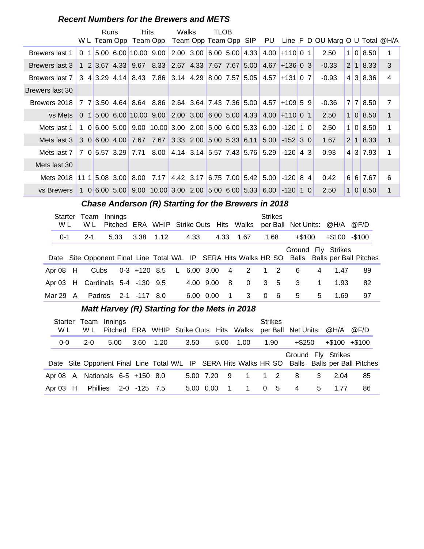#### **Recent Numbers for the Brewers and METS**

|                 |          |    | Runs | W L Team Opp  | <b>Hits</b>                                  | Team Opp                                                          | Walks | Team Opp Team Opp SIP PU   | <b>TLOB</b> |  |                                        |                 |    | Line F D OU Marg O U Total @H/A |                |                |                      |                |
|-----------------|----------|----|------|---------------|----------------------------------------------|-------------------------------------------------------------------|-------|----------------------------|-------------|--|----------------------------------------|-----------------|----|---------------------------------|----------------|----------------|----------------------|----------------|
| Brewers last 1  | $\Omega$ | 11 |      |               | 5.00 6.00 10.00 9.00                         |                                                                   |       | $2.00$ 3.00 6.00 5.00 4.33 |             |  |                                        | $4.00 + 110001$ |    | 2.50                            |                |                | 1 0 8.50             | 1              |
| Brewers last 3  |          |    |      |               |                                              | 1 2 3.67 4.33 9.67 8.33 2.67 4.33 7.67 7.67 5.00                  |       |                            |             |  | 4.67                                   | $ +136 0 3 $    |    | $-0.33$                         | 2 <sup>1</sup> | $\blacksquare$ | 8.33                 | 3              |
| Brewers last 7  |          |    |      |               | $3 \quad 4 \quad 3.29 \quad 4.14 \quad 8.43$ | 7.86 3.14 4.29 8.00 7.57 5.05                                     |       |                            |             |  | 4.57                                   | $+131$ 0 7      |    | $-0.93$                         |                | 4 3            | 8.36                 | 4              |
| Brewers last 30 |          |    |      |               |                                              |                                                                   |       |                            |             |  |                                        |                 |    |                                 |                |                |                      |                |
| Brewers 2018    |          |    |      |               |                                              | 7 7 3.50 4.64 8.64 8.86 2.64 3.64 7.43 7.36 5.00 4.57 + 109 5 9   |       |                            |             |  |                                        |                 |    | $-0.36$                         |                |                | 7 7 8.50             | $\overline{7}$ |
| vs Mets         |          |    |      |               |                                              | $0$ 1 5.00 6.00 10.00 9.00                                        |       | 2.00 3.00 6.00 5.00 4.33   |             |  |                                        | $4.00 + 110001$ |    | 2.50                            | 1 <sup>1</sup> |                | 018.50               | $\mathbf{1}$   |
| Mets last 1     |          |    |      |               |                                              | $1\quad0$ 6.00 5.00 9.00 10.00 3.00 2.00 5.00 6.00 5.33 6.00 -120 |       |                            |             |  |                                        |                 | 10 | 2.50                            | 1 <sup>1</sup> |                | 018.50               | 1              |
| Mets last 3     |          |    |      |               |                                              | 3 0 6.00 4.00 7.67 7.67 3.33 2.00 5.00 5.33 6.11                  |       |                            |             |  | 5.00                                   | $-152$ 3 0      |    | 1.67                            |                |                | $2 \mid 1 \mid 8.33$ | $\mathbf{1}$   |
| Mets last 7     |          |    |      | 7 0 5.57 3.29 | 7.71                                         | 8.00                                                              |       | 4.14 3.14 5.57 7.43 5.76   |             |  | 5.29                                   | $-120$          | 43 | 0.93                            |                |                | 4 3 7.93             | 1              |
| Mets last 30    |          |    |      |               |                                              |                                                                   |       |                            |             |  |                                        |                 |    |                                 |                |                |                      |                |
| Mets 2018       |          |    |      |               | $11 \; 1 \; 5.08 \; 3.00 \; 8.00$            | 7.17                                                              |       |                            |             |  | 4.42 3.17 6.75 7.00 5.42 5.00 -120 8 4 |                 |    | 0.42                            | 6 <sup>1</sup> |                | 6 7.67               | 6              |
| vs Brewers      |          |    |      |               |                                              | 1 0 6.00 5.00 9.00 10.00 3.00 2.00 5.00 6.00 5.33 6.00 -120 1 0   |       |                            |             |  |                                        |                 |    | 2.50                            | 1 <sup>1</sup> |                | 0   8.50             | 1              |

#### **Chase Anderson (R) Starting for the Brewers in 2018**

| Starter<br>W L | Team<br>W L                     | Innings<br>Pitched |                            |  |           |      |      | ERA WHIP Strike Outs Hits Walks                                  |          | <b>Strikes</b> | per Ball Net Units: @H/A @F/D |             |                  |                              |  |
|----------------|---------------------------------|--------------------|----------------------------|--|-----------|------|------|------------------------------------------------------------------|----------|----------------|-------------------------------|-------------|------------------|------------------------------|--|
| $0 - 1$        | $2 - 1$                         | 5.33               | 3.38 1.12                  |  | 4.33      |      | 4.33 | 1.67                                                             |          | 1.68           | $+$ \$100                     |             | $+\$100 - \$100$ |                              |  |
|                |                                 |                    |                            |  |           |      |      |                                                                  |          |                | Ground Fly Strikes            |             |                  |                              |  |
|                |                                 |                    |                            |  |           |      |      | Date Site Opponent Final Line Total W/L IP SERA Hits Walks HR SO |          |                |                               |             |                  | Balls Balls per Ball Pitches |  |
| Apr $08$ H     | Cubs                            |                    | 0-3 +120 8.5 L 6.00 3.00 4 |  |           |      |      | 2 1 2                                                            |          |                | -6                            | 4           | 1 47             | 89                           |  |
|                | Apr 03 H Cardinals 5-4 -130 9.5 |                    |                            |  | 4.00 9.00 |      | - 8  | $\Omega$                                                         |          | $3\quad 5$     | 3                             | $\mathbf 1$ | 1.93             | 82                           |  |
| Mar 29 $\,$ A  | Padres                          |                    | 2-1 -117 8.0               |  | 6.00      | 0.00 | -1   | 3                                                                | $\Omega$ | - 6            | 5                             | 5           | 1.69             | 97                           |  |

#### **Matt Harvey (R) Starting for the Mets in 2018**

| <b>Starter</b> |   |          | Team Innings           |              |      |                                         |           |      |      | <b>Strikes</b>                |        |              |                    |                                                                                               |
|----------------|---|----------|------------------------|--------------|------|-----------------------------------------|-----------|------|------|-------------------------------|--------|--------------|--------------------|-----------------------------------------------------------------------------------------------|
| W L            |   | W L      |                        |              |      | Pitched ERA WHIP Strike Outs Hits Walks |           |      |      | per Ball Net Units: @H/A @F/D |        |              |                    |                                                                                               |
| $0 - 0$        |   | $2 - 0$  | 5.00                   | 3.60         | 1.20 | 3.50                                    |           | 5.00 | 1.00 | 1.90                          | +\$250 |              | $+\$100 + \$100$   |                                                                                               |
|                |   |          |                        |              |      |                                         |           |      |      |                               |        |              | Ground Fly Strikes | Date Site Opponent Final Line Total W/L IP SERA Hits Walks HR SO Balls Balls per Ball Pitches |
| Apr 08         | A |          | Nationals 6-5 +150 8.0 |              |      |                                         | 5.00 7.20 | - 9  |      | $1 \quad 1 \quad 2$           | - 8    | $\mathbf{3}$ | 2.04               | 85                                                                                            |
| Apr $03$ H     |   | Phillies |                        | 2-0 -125 7.5 |      |                                         | 5.00 0.00 |      | 1    | - 5<br>$\overline{0}$         | -4     | 5            | 1.77               | 86                                                                                            |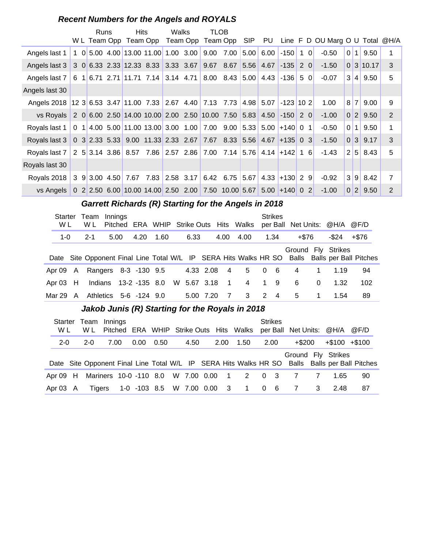#### **Recent Numbers for the Angels and ROYALS**

|                                                                                                         |  | <b>Runs</b> | <b>Hits</b>                                                       |                     | Walks | TLOB |                                 |                      |         | W L Team Opp Team Opp Team Opp Team Opp SIP PU Line F D OU Marg O U Total @H/A |                |                |               |                |
|---------------------------------------------------------------------------------------------------------|--|-------------|-------------------------------------------------------------------|---------------------|-------|------|---------------------------------|----------------------|---------|--------------------------------------------------------------------------------|----------------|----------------|---------------|----------------|
| Angels last 1                                                                                           |  |             | 1 0 5.00 4.00 13.00 11.00 1.00 3.00 9.00                          |                     |       |      | 7.00                            | $ 5.00 $ 6.00   -150 | $1 \ 0$ | $-0.50$                                                                        | $\overline{0}$ | 1 <sup>1</sup> | 9.50          | 1              |
| Angels last 3 3 0 6.33 2.33 12.33 8.33 3.33 3.67 9.67 8.67 5.56 4.67 -135 2 0                           |  |             |                                                                   |                     |       |      |                                 |                      |         | $-1.50$                                                                        |                |                | 0 3 10.17     | 3              |
| Angels last 7 6 1 6.71 2.71 11.71 7.14 3.14 4.71 8.00 8.43 5.00 4.43 -136 5 0                           |  |             |                                                                   |                     |       |      |                                 |                      |         | $-0.07$                                                                        | 3 <sup>1</sup> | $\vert$        | 9.50          | 5              |
| Angels last 30                                                                                          |  |             |                                                                   |                     |       |      |                                 |                      |         |                                                                                |                |                |               |                |
| Angels 2018 12 3 6.53 3.47 11.00 7.33 2.67 4.40 7.13 7.73                                               |  |             |                                                                   |                     |       |      |                                 | 4.98 5.07 -123 10 2  |         | 1.00                                                                           | 8              | 7              | 9.00          | 9              |
| vs Royals 2 0 6.00 2.50 14.00 10.00 2.00 2.50 10.00 7.50 5.83 4.50 -150 2 0                             |  |             |                                                                   |                     |       |      |                                 |                      |         | $-1.00$                                                                        |                |                | 0 2 9.50      | 2              |
| Royals last 1                                                                                           |  |             | 0 1 4.00 5.00 11.00 13.00 3.00 1.00 7.00 9.00 5.33 5.00 + 140 0 1 |                     |       |      |                                 |                      |         | $-0.50$                                                                        | $\overline{0}$ | 1 <sup>1</sup> | 9.50          | 1              |
| Royals last 3   0 3   2.33   5.33   9.00   11.33   2.33   2.67   7.67   8.33   5.56   4.67   +135   0 3 |  |             |                                                                   |                     |       |      |                                 |                      |         | $-1.50$                                                                        |                |                | 0 3 9.17      | 3              |
| Royals last 7 2 5 3.14 3.86 8.57 7.86 2.57 2.86 7.00 7.14 5.76 4.14 + 142 1 6                           |  |             |                                                                   |                     |       |      |                                 |                      |         | $-1.43$                                                                        | 2 <sup>1</sup> |                | $5 \mid 8.43$ | 5              |
| Royals last 30                                                                                          |  |             |                                                                   |                     |       |      |                                 |                      |         |                                                                                |                |                |               |                |
| Royals 2018 3 9 3.00 4.50                                                                               |  |             |                                                                   | 7.67 7.83 2.58 3.17 |       |      | $6.42$ 6.75 5.67 4.33 + 130 2 9 |                      |         | $-0.92$                                                                        | 3 <sup>1</sup> |                | $9 \, 8.42$   | $\overline{7}$ |
| vs Angels   0 2 2.50 6.00 10.00 14.00 2.50 2.00 7.50 10.00 5.67 5.00 +140 0 2                           |  |             |                                                                   |                     |       |      |                                 |                      |         | $-1.00$                                                                        | $\overline{0}$ | 2              | 9.50          | 2              |

#### **Garrett Richards (R) Starting for the Angels in 2018**

| <b>Starter</b><br>W L |   | Team<br>W L          | Innings |                        |      |             |                | Pitched ERA WHIP Strike Outs Hits Walks |   | <b>Strikes</b> | per Ball Net Units: @H/A @F/D |             |       |                                                                                               |
|-----------------------|---|----------------------|---------|------------------------|------|-------------|----------------|-----------------------------------------|---|----------------|-------------------------------|-------------|-------|-----------------------------------------------------------------------------------------------|
| $1 - 0$               |   | $2 - 1$              | 5.00    | 4.20                   | 1.60 | 6.33        | 4.00           | 4.00                                    |   | 1.34           | +\$76                         |             | -\$24 | +\$76                                                                                         |
|                       |   |                      |         |                        |      |             |                |                                         |   |                | Ground Fly Strikes            |             |       |                                                                                               |
|                       |   |                      |         |                        |      |             |                |                                         |   |                |                               |             |       | Date Site Opponent Final Line Total W/L IP SERA Hits Walks HR SO Balls Balls per Ball Pitches |
| Apr 09                | A | Rangers 8-3 -130 9.5 |         |                        |      | 4.33 2.08   | $\sim$ 4       | 5                                       |   | $0\quad 6$     | 4                             | $\mathbf 1$ | 1.19  | 94                                                                                            |
| Apr $03$ H            |   |                      |         | Indians 13-2 -135 8.0  |      | W 5.67 3.18 | $\overline{1}$ | 4 1 9                                   |   |                | 6                             | $\Omega$    | 1.32  | 102                                                                                           |
| Mar 29                | A |                      |         | Athletics 5-6 -124 9.0 |      | 5.00 7.20   | - 7            | 3                                       | 2 | $\overline{4}$ | 5                             | 1           | 1.54  | 89                                                                                            |

#### Jakob Junis (R) Starting for the Royals in 2018

| <b>Starter</b><br>W L | Team Innings<br>W L                |      |      |                          |      |          | Pitched ERA WHIP Strike Outs Hits Walks | <b>Strikes</b> |          | per Ball Net Units: @H/A @F/D |                                                                                               |
|-----------------------|------------------------------------|------|------|--------------------------|------|----------|-----------------------------------------|----------------|----------|-------------------------------|-----------------------------------------------------------------------------------------------|
| $2 - 0$               | $2 - 0$                            | 7.00 | 0.00 | 0.50                     | 4.50 | 2.00     | 1.50                                    | 2.00           | $+\$200$ | $+\$100$ $+\$100$             |                                                                                               |
|                       |                                    |      |      |                          |      |          |                                         |                |          | Ground Fly Strikes            |                                                                                               |
|                       |                                    |      |      |                          |      |          |                                         |                |          |                               | Date Site Opponent Final Line Total W/L IP SERA Hits Walks HR SO Balls Balls per Ball Pitches |
| Apr $09$ H            | Mariners 10-0 -110 8.0 W 7.00 0.00 |      |      |                          |      | $\sim$ 1 | 2 0 3                                   |                |          | 1.65                          | 90                                                                                            |
| Apr 03 A              | Tigers                             |      |      | 1-0 -103 8.5 W 7.00 0.00 |      |          | 3 1 0                                   | - 6            |          | 2.48                          | 87                                                                                            |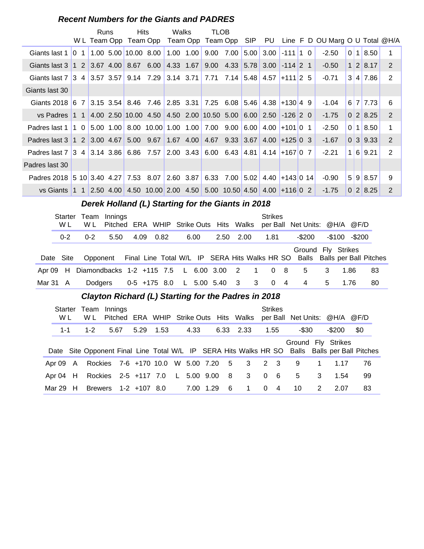#### **Recent Numbers for the Giants and PADRES**

|                                                                                                |                                                                                                                                                                             |                                         | Runs         | <b>Hits</b>                                                        |               | Walks | TLOB                        |                                                                    |                  |            |  |                                                                   |                |          |             |
|------------------------------------------------------------------------------------------------|-----------------------------------------------------------------------------------------------------------------------------------------------------------------------------|-----------------------------------------|--------------|--------------------------------------------------------------------|---------------|-------|-----------------------------|--------------------------------------------------------------------|------------------|------------|--|-------------------------------------------------------------------|----------------|----------|-------------|
|                                                                                                |                                                                                                                                                                             |                                         | W L Team Opp |                                                                    |               |       |                             |                                                                    |                  |            |  | Team Opp Team Opp Team Opp SIP PU Line F D OU Marg O U Total @H/A |                |          |             |
| Giants last 1                                                                                  |                                                                                                                                                                             | $\begin{array}{ccc} 10 & 1 \end{array}$ |              | $1.00$ 5.00 10.00 8.00                                             |               |       | $1.00$ $1.00$ $9.00$ $7.00$ |                                                                    | $5.00 \mid 3.00$ | $-111$ 1 0 |  | $-2.50$                                                           | $\overline{0}$ | 1 8.50   | 1           |
| Giants last 3 1 2 3.67 4.00 8.67 6.00 4.33 1.67                                                |                                                                                                                                                                             |                                         |              |                                                                    |               |       |                             | $9.00 \quad 4.33 \quad 5.78 \quad 3.00 \quad -114 \quad 2 \quad 1$ |                  |            |  | $-0.50$                                                           |                | 1 2 8.17 | 2           |
| Giants last 7 3 4 3.57 3.57 9.14 7.29 3.14 3.71 7.71 7.14 5.48 4.57 + 111 2 5                  |                                                                                                                                                                             |                                         |              |                                                                    |               |       |                             |                                                                    |                  |            |  | $-0.71$                                                           |                | 3 4 7.86 | 2           |
| Giants last 30                                                                                 |                                                                                                                                                                             |                                         |              |                                                                    |               |       |                             |                                                                    |                  |            |  |                                                                   |                |          |             |
| Giants 2018 6 7 3.15 3.54 8.46 7.46 2.85 3.31 7.25 6.08 5.46 4.38 +130 4 9                     |                                                                                                                                                                             |                                         |              |                                                                    |               |       |                             |                                                                    |                  |            |  | $-1.04$                                                           |                | 6 7 7.73 | 6           |
| vs Padres                                                                                      |                                                                                                                                                                             |                                         |              |                                                                    |               |       |                             |                                                                    |                  |            |  | $-1.75$                                                           |                | 0 2 8.25 | 2           |
|                                                                                                | 1 1 4.00 2.50 10.00 4.50 4.50 2.00 10.50 5.00 6.00 2.50 -126 2 0<br>Padres last 1   1 0   5.00 1.00   8.00 10.00   1.00 1.00   7.00 9.00<br>Padres last 3   1 2   3.00 4.67 |                                         |              |                                                                    |               |       |                             |                                                                    | 6.00 4.00        | $+101$ 0 1 |  | $-2.50$                                                           | $\overline{0}$ | 118.50   | $\mathbf 1$ |
|                                                                                                |                                                                                                                                                                             |                                         |              |                                                                    | $5.00$ $9.67$ |       |                             | 1.67 4.00 4.67 9.33 3.67 4.00 + 125 0 3                            |                  |            |  | -1.67                                                             |                | 0 3 9.33 | 2           |
| Padres last 7   3 4   3.14 3.86   6.86 7.57   2.00 3.43   6.00 6.43   4.81   4.14   +167   0 7 |                                                                                                                                                                             |                                         |              |                                                                    |               |       |                             |                                                                    |                  |            |  | $-2.21$                                                           | 1 <sup>1</sup> | 6 9.21   | 2           |
| Padres last 30                                                                                 |                                                                                                                                                                             |                                         |              |                                                                    |               |       |                             |                                                                    |                  |            |  |                                                                   |                |          |             |
|                                                                                                | Padres 2018 5 10 3.40 4.27 7.53 8.07 2.60 3.87                                                                                                                              |                                         |              |                                                                    |               |       |                             | $6.33$ $7.00$ 5.02 4.40 + 143 0 14                                 |                  |            |  | $-0.90$                                                           | 5 <sup>1</sup> | 9 8.57   | 9           |
| vs Giants                                                                                      |                                                                                                                                                                             |                                         |              | $1 1$ 2.50 4.00 4.50 10.00 2.00 4.50 5.00 10.50 4.50 4.00 +116 0 2 |               |       |                             |                                                                    |                  |            |  | $-1.75$                                                           | 0              | 2 8.25   | 2           |
|                                                                                                |                                                                                                                                                                             |                                         |              | Derek Holland (L) Starting for the Giants in 2018                  |               |       |                             |                                                                    |                  |            |  |                                                                   |                |          |             |

|               | W L       | Starter Team Innings<br>W L                 |      |            |  |      |                              |  | <b>Strikes</b> |                | Pitched ERA WHIP Strike Outs Hits Walks per Ball Net Units: @H/A @F/D                                     |   |        |        |    |
|---------------|-----------|---------------------------------------------|------|------------|--|------|------------------------------|--|----------------|----------------|-----------------------------------------------------------------------------------------------------------|---|--------|--------|----|
|               | $0 - 2$   | $0 - 2$                                     | 5.50 | 4.09  0.82 |  | 6.00 | 2.50 2.00                    |  | 1.81           |                | -\$200                                                                                                    |   | -\$100 | -\$200 |    |
|               | Date Site |                                             |      |            |  |      |                              |  |                |                | Ground Fly Strikes<br>Opponent Final Line Total W/L IP SERA Hits Walks HR SO Balls Balls per Ball Pitches |   |        |        |    |
| Apr 09        |           | H Diamondbacks 1-2 +115 7.5 L 6.00 3.00 2 1 |      |            |  |      |                              |  | 0 <sub>8</sub> |                | 5                                                                                                         |   | 1.86   |        | 83 |
| Mar 31 $\,$ A |           | Dodgers                                     |      |            |  |      | 0-5 +175 8.0 L 5.00 5.40 3 3 |  | $\overline{0}$ | $\overline{4}$ | 4                                                                                                         | 5 | 1.76   |        | 80 |

#### **Clayton Richard (L) Starting for the Padres in 2018**

| Starter<br>W L |      | Team Innings<br>W L |      |                                  |      |           |                | Pitched ERA WHIP Strike Outs Hits Walks   |   | <b>Strikes</b> | per Ball Net Units: @H/A @F/D |   |        |                                                                                               |  |
|----------------|------|---------------------|------|----------------------------------|------|-----------|----------------|-------------------------------------------|---|----------------|-------------------------------|---|--------|-----------------------------------------------------------------------------------------------|--|
| 1-1            |      | 1-2                 | 5.67 | 5.29                             | 1.53 | 4.33      |                | 6.33 2.33                                 |   | 1.55           | -\$30                         |   | -\$200 | \$0                                                                                           |  |
|                |      |                     |      |                                  |      |           |                |                                           |   |                | Ground Fly Strikes            |   |        |                                                                                               |  |
|                |      |                     |      |                                  |      |           |                |                                           |   |                |                               |   |        | Date Site Opponent Final Line Total W/L IP SERA Hits Walks HR SO Balls Balls per Ball Pitches |  |
| Apr 09 A       |      |                     |      |                                  |      |           |                | Rockies 7-6 +170 10.0 W 5.00 7.20 5 3 2 3 |   |                | - 9                           |   | 1.17   | 76                                                                                            |  |
| Apr 04         | H    |                     |      | Rockies 2-5 +117 7.0 L 5.00 9.00 |      |           | 8 <sup>1</sup> | $3 \t 0$                                  |   | - 6            | 5                             | 3 | 1.54   | 99                                                                                            |  |
| Mar 29         | . н. |                     |      | Brewers 1-2 +107 8.0             |      | 7.00 1.29 | - 6            | $\mathbf 1$                               | 0 | 4              | 10                            | 2 | -2.07  | 83                                                                                            |  |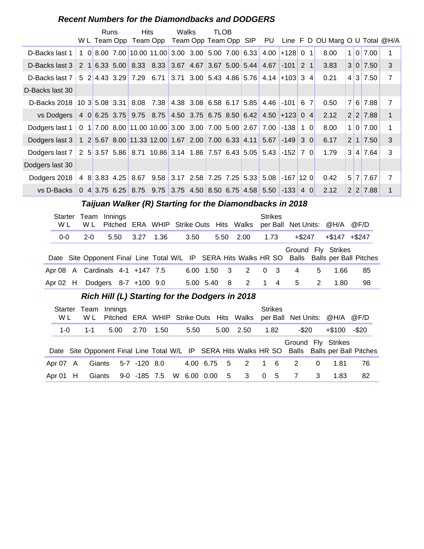#### **Recent Numbers for the Diamondbacks and DODGERS**

|                                                                                      |  | Runs | <b>Hits</b>                                                       | Walks | TLOB |  |                  |             |     | W L Team Opp Team Opp Team Opp Team Opp SIP PU Line F D OU Marg O U Total @H/A |                |          |                |
|--------------------------------------------------------------------------------------|--|------|-------------------------------------------------------------------|-------|------|--|------------------|-------------|-----|--------------------------------------------------------------------------------|----------------|----------|----------------|
| D-Backs last 1                                                                       |  |      | 1 0 8.00 7.00 10.00 11.00 3.00 3.00 5.00 7.00 6.33 4.00 + 128 0 1 |       |      |  |                  |             |     | 8.00                                                                           | 1 <sup>1</sup> | 017.00   | 1              |
| D-Backs last 3                                                                       |  |      | 2 1 6.33 5.00 8.33 8.33 3.67 4.67 3.67 5.00 5.44 4.67             |       |      |  |                  | $-101$ 2 1  |     | 3.83                                                                           |                | 3 0 7.50 | 3              |
| D-Backs last 7                                                                       |  |      | $5$ 2 4.43 3.29 7.29 6.71 3.71 3.00 5.43 4.86 5.76 4.14 + 103 3 4 |       |      |  |                  |             |     | 0.21                                                                           | $\vert$ 4      | 3 7.50   | $\overline{7}$ |
| D-Backs last 30                                                                      |  |      |                                                                   |       |      |  |                  |             |     |                                                                                |                |          |                |
| D-Backs 2018 10 3 5.08 3.31 8.08 7.38 4.38 3.08 6.58 6.17 5.85 4.46 -101 6 7         |  |      |                                                                   |       |      |  |                  |             |     | 0.50                                                                           | 7 <sup>1</sup> | 6 7.88   | $\overline{7}$ |
| vs Dodgers   4 0 6.25 3.75 9.75 8.75 4.50 3.75 6.75 8.50 6.42 4.50 + 123 0 4         |  |      |                                                                   |       |      |  |                  |             |     | 2.12                                                                           |                | 2 2 7.88 | $\mathbf{1}$   |
| Dodgers last 1   0 1   7.00 8.00   11.00 10.00   3.00 3.00   7.00 5.00   2.67   7.00 |  |      |                                                                   |       |      |  |                  | $-138$      | 1 0 | 8.00                                                                           | 1 <sup>1</sup> | 0.7.00   | 1              |
| Dodgers last 3   1 2 5.67 8.00 11.33 12.00 1.67 2.00 7.00 6.33 4.11 5.67 -149 3 0    |  |      |                                                                   |       |      |  |                  |             |     | 6.17                                                                           |                | 2 1 7.50 | 3              |
| Dodgers last 7 2 5 3.57 5.86 8.71 10.86 3.14 1.86 7.57 6.43 5.05 5.43                |  |      |                                                                   |       |      |  |                  | $-152$ 7 0  |     | 1.79                                                                           | $\mathbf{3}$   | 4 7.64   | 3              |
| Dodgers last 30                                                                      |  |      |                                                                   |       |      |  |                  |             |     |                                                                                |                |          |                |
| Dodgers 2018                                                                         |  |      | 4 8 3.83 4.25 8.67 9.58 3.17 2.58 7.25 7.25                       |       |      |  | $5.33 \mid 5.08$ | $-167$ 12 0 |     | 0.42                                                                           |                | 5 7 7.67 | $\overline{7}$ |
| vs D-Backs                                                                           |  |      | 0 4 3.75 6.25 8.75 9.75 3.75 4.50 8.50 6.75 4.58 5.50 -133 4 0    |       |      |  |                  |             |     | 2.12                                                                           |                | 2 2 7.88 | 1              |

#### **Taijuan Walker (R) Starting for the Diamondbacks in 2018**

| Starter<br>W L | Team<br>W L                     | Innings |                      |      |      |           |             | Pitched ERA WHIP Strike Outs Hits Walks | <b>Strikes</b> | per Ball Net Units: @H/A @F/D |   |                   |                                                                                               |
|----------------|---------------------------------|---------|----------------------|------|------|-----------|-------------|-----------------------------------------|----------------|-------------------------------|---|-------------------|-----------------------------------------------------------------------------------------------|
| $0-0$          | $2 - 0$                         | 5.50    | 3.27                 | 1.36 | 3.50 |           |             | 5.50 2.00                               | 1.73           | +\$247                        |   | $+\$147$ $+\$247$ |                                                                                               |
|                |                                 |         |                      |      |      |           |             |                                         |                | Ground Fly Strikes            |   |                   | Date Site Opponent Final Line Total W/L IP SERA Hits Walks HR SO Balls Balls per Ball Pitches |
|                | Apr 08 A Cardinals 4-1 +147 7.5 |         |                      |      |      |           | 6.00 1.50 3 | 2                                       | $0 \quad 3$    | 4                             | 5 | 1.66              | 85                                                                                            |
| Apr $02$ H     |                                 |         | Dodgers 8-7 +100 9.0 |      |      | 5.00 5.40 | - 8         | 2                                       | $1 \quad 4$    | 5                             | 2 | 1.80              | 98                                                                                            |

#### **Rich Hill (L) Starting for the Dodgers in 2018**

| Starter<br>W L |  | W L    | Team Innings<br>Pitched ERA WHIP Strike Outs Hits Walks per Ball Net Units: @H/A @F/D |                          |      |  |      |  |      |                   |          | <b>Strikes</b> |       |          |                    |                                                                                               |
|----------------|--|--------|---------------------------------------------------------------------------------------|--------------------------|------|--|------|--|------|-------------------|----------|----------------|-------|----------|--------------------|-----------------------------------------------------------------------------------------------|
| $1-0$          |  | -1-1   | 5.00                                                                                  | 2.70                     | 1.50 |  | 5.50 |  | 5.00 | 2.50              | 1.82     |                | -\$20 |          | +\$100             | -\$20                                                                                         |
|                |  |        |                                                                                       |                          |      |  |      |  |      |                   |          |                |       |          | Ground Fly Strikes | Date Site Opponent Final Line Total W/L IP SERA Hits Walks HR SO Balls Balls per Ball Pitches |
| Apr 07 A       |  | Giants |                                                                                       | 5-7 -120 8.0             |      |  |      |  |      | 4.00 6.75 5 2 1 6 |          |                | 2     | $\Omega$ | 1.81               | 76                                                                                            |
| Apr $01$ H     |  | Giants |                                                                                       | 9-0 -185 7.5 W 6.00 0.00 |      |  |      |  |      | 5 3               | $\Omega$ | - 5            | 7     | 3        | 1.83               | 82                                                                                            |